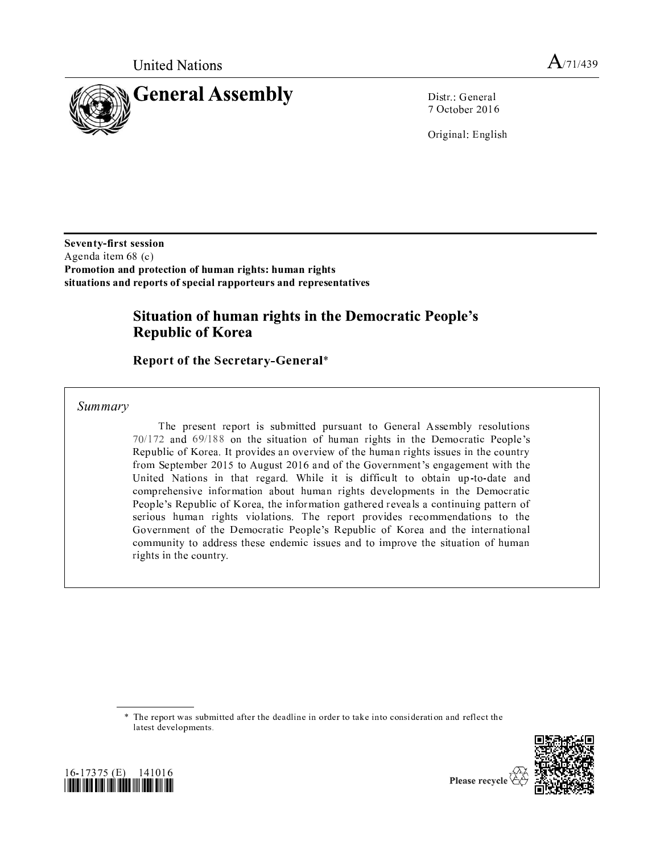



Distr.: General 7 October 2016

Original: English

Seventy-first session Agenda item 68 (c) Promotion and protection of human rights: human rights situations and reports of special rapporteurs and representatives

# Situation of human rights in the Democratic People's **Republic of Korea**

**Report of the Secretary-General\*** 

Summary

The present report is submitted pursuant to General Assembly resolutions 70/172 and 69/188 on the situation of human rights in the Democratic People's Republic of Korea. It provides an overview of the human rights issues in the country from September 2015 to August 2016 and of the Government's engagement with the United Nations in that regard. While it is difficult to obtain up-to-date and comprehensive information about human rights developments in the Democratic People's Republic of Korea, the information gathered reveals a continuing pattern of serious human rights violations. The report provides recommendations to the Government of the Democratic People's Republic of Korea and the international community to address these endemic issues and to improve the situation of human rights in the country.

\* The report was submitted after the deadline in order to take into consideration and reflect the latest developments.





Please recycle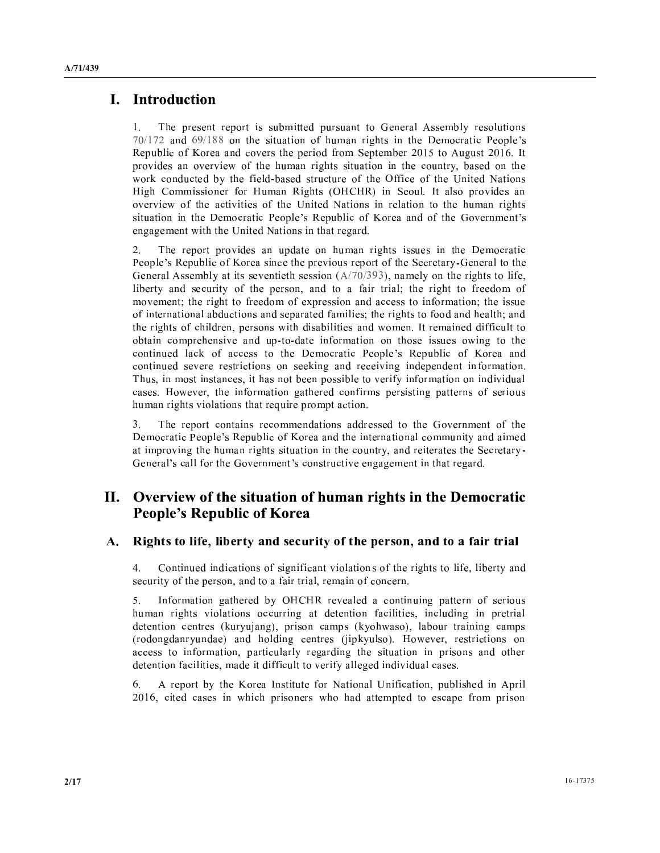## I. Introduction

- <sup>R</sup> <sup>S</sup> <sup>S</sup> <sup>T</sup> . - <sup>S</sup> <sup>T</sup> <sup>T</sup> , . <sup>U</sup> <sup>T</sup> - - - / / <sup>T</sup> <sup>V</sup> <sup>T</sup> . . <sup>W</sup> <sup>S</sup> <sup>X</sup> Y <sup>S</sup> <sup>T</sup> <sup>V</sup> <sup>Z</sup> - \ <sup>S</sup> - <sup>V</sup> . ^ <sup>S</sup> . - , <sup>T</sup> <sup>T</sup> - [  $\mathbf{S} = \mathbf{S} \cdot \mathbf{S} + \mathbf{S} \cdot \mathbf{S} + \mathbf{S} \cdot \mathbf{S} + \mathbf{S} \cdot \mathbf{S} + \mathbf{S} \cdot \mathbf{S} + \mathbf{S} \cdot \mathbf{S} + \mathbf{S} \cdot \mathbf{S} + \mathbf{S} \cdot \mathbf{S} + \mathbf{S} \cdot \mathbf{S} + \mathbf{S} \cdot \mathbf{S} + \mathbf{S} \cdot \mathbf{S} + \mathbf{S} \cdot \mathbf{S} + \mathbf{S} \cdot \mathbf{S} + \mathbf{S} \cdot \mathbf{S} + \mathbf$ ] - <sup>T</sup> - <sup>U</sup> <sup>V</sup> - - <sup>T</sup> <sup>T</sup> <sup>V</sup> V <sup>V</sup> <sup>V</sup> \_ - ` . . <sup>V</sup> <sup>T</sup> . <sup>Y</sup> <sup>Y</sup> ^ <sup>T</sup> [ <sup>S</sup> \ -  $\cdots$  , and all and the second contract of the second contract of the second contract of the second contract of the second contract of the second contract of the second contract of the second contract of the second contra  $\mathcal{M} = \mathcal{M} \cup \mathcal{M} = \mathcal{M} \cup \mathcal{M} = \mathcal{M} \cup \mathcal{M} \cup \mathcal{M} = \mathcal{M} \cup \mathcal{M} \cup \mathcal{M} \cup \mathcal{M} \cup \mathcal{M} \cup \mathcal{M} \cup \mathcal{M} \cup \mathcal{M} \cup \mathcal{M} \cup \mathcal{M} \cup \mathcal{M} \cup \mathcal{M} \cup \mathcal{M} \cup \mathcal{M} \cup \mathcal{M} \cup \mathcal{M} \cup \mathcal{M} \cup \mathcal{M} \cup \mathcal{M} \cup \mathcal{M} \cup$ . ] \_ - ` -

 $2.$  <sup>R</sup> <sup>S</sup> <sup>S</sup> \ - <sup>T</sup> <sup>S</sup> - <sup>T</sup> . <sup>T</sup> . where the contract of the contract of the contract of the contract of the contract of the contract of the contract of the contract of the contract of the contract of the contract of the contract of the contract of the cont , . <sup>U</sup> \ , <sup>b</sup> . <sup>U</sup> <sup>V</sup> <sup>b</sup>  $\mathbf{u} = \mathbf{u} - \mathbf{u} - \mathbf{u} - \mathbf{u} - \mathbf{u} - \mathbf{u} - \mathbf{u} - \mathbf{u} - \mathbf{u} - \mathbf{u} - \mathbf{u} - \mathbf{u} - \mathbf{u} - \mathbf{u} - \mathbf{u} - \mathbf{u} - \mathbf{u} - \mathbf{u} - \mathbf{u} - \mathbf{u} - \mathbf{u} - \mathbf{u} - \mathbf{u} - \mathbf{u} - \mathbf{u} - \mathbf{u} - \mathbf{u} - \mathbf{u} - \mathbf{u} - \mathbf{u} - \mathbf$ . The set of the set of the set of the set of the set of the set of the set of the set of the set of the set of the set of the set of the set of the set of the set of the set of the set of the set of the set of the set of  $\alpha$  , and the contract of the contract of the contract of the contract of the contract of the contract of the contract of the contract of the contract of the contract of the contract of the contract of the contract of th  $\mathcal{P} = \{ \mathcal{P} \mid \mathcal{P} \text{ and } \mathcal{P} \text{ and } \mathcal{P} \}$ . So a set of the set of the set of the set of the set of the set of the set of the set of the set of the set of the set of the set of the set of the set of the set of the set of the set of the set of the set of the set o  $\mathcal{N} = \{ \mathcal{N} \mid \mathcal{N} \text{ and } \mathcal{N} \}$  <sup>T</sup> - \ - \ - <sup>S</sup> - <sup>V</sup> . R <sup>T</sup> <sup>b</sup> . <sup>b</sup> <sup>S</sup> \ <sup>V</sup> <sup>U</sup> <sup>V</sup> . - \ - <sup>T</sup> ] \ <sup>b</sup> <sup>V</sup> . - <sup>V</sup> . <sup>S</sup> <sup>S</sup> <sup>V</sup> <sup>T</sup> The set of the set of the set of the set of the set of the set of the set of the set of the set of the set of the set of the set of the set of the set of the set of the set of the set of the set of the set of the set of t

 $\sim$  <sup>R</sup> <sup>S</sup> . . - - - - \ . <sup>V</sup> . <sup>W</sup> <sup>S</sup> <sup>X</sup> <sup>Y</sup> <sup>S</sup> <sup>T</sup> <sup>V</sup> <sup>Z</sup> - . . <sup>T</sup> <sup>U</sup> - . - . S a set of the set of the set of the set of the set of the set of the set of the set of the set of the set of the set of the set of the set of the set of the set of the set of the set of the set of the set of the set of  $\sim$  . The set of the set of the set of the set of the set of the set of the set of the set of the set of the set of the set of the set of the set of the set of the set of the set of the set of the set of the set of the s

## II. Overview of the situation of human rights in the Democratic **People's Republic of Korea**

#### $\blacksquare$ ; and  $\blacksquare$  . The set of  $\blacksquare$

 $\sim$  <sup>T</sup> - - <sup>V</sup> <sup>V</sup> \ <sup>V</sup> <sup>V</sup> <sup>b</sup> <sup>U</sup> -  $\mathbf{v}$  , and  $\mathbf{v}$  , and  $\mathbf{v}$  , and  $\mathbf{v}$  , and  $\mathbf{v}$  , and  $\mathbf{v}$  , and  $\mathbf{v}$  , and  $\mathbf{v}$  , and  $\mathbf{v}$  , and  $\mathbf{v}$  , and  $\mathbf{v}$  , and  $\mathbf{v}$  , and  $\mathbf{v}$  , and  $\mathbf{v}$  , and  $\mathbf{v}$  ,

 $\overline{\phantom{0}}$  $\bullet$  , and  $\bullet$  , and  $\bullet$  , and  $\bullet$  , and  $\bullet$  , and  $\bullet$  , and  $\bullet$  , and  $\bullet$  , and  $\bullet$  , and  $\bullet$  , and  $\bullet$  , and  $\bullet$  , and  $\bullet$  , and  $\bullet$  , and  $\bullet$  , and  $\bullet$  , and  $\bullet$  , and  $\bullet$  , and  $\bullet$  , and  $\bullet$  , and <sup>T</sup> . \ T - <sup>V</sup> <sup>b</sup> <sup>T</sup> - <sup>S</sup>  $\mathcal{A}$  , and the set of the set of the set of the set of the set of the set of the set of the set of the set of the set of the set of the set of the set of the set of the set of the set of the set of the set of the set  $\mathcal{L} = \mathbf{1} \qquad \qquad \mathbf{1} \qquad \mathbf{1} \qquad \mathbf{1} \qquad \mathbf{1} \qquad \mathbf{1} \qquad \qquad \mathbf{1} \qquad \mathbf{1} \qquad \mathbf{1} \qquad \mathbf{1} \qquad \mathbf{1} \qquad \mathbf{1} \qquad \mathbf{1} \qquad \mathbf{1} \qquad \mathbf{1} \qquad \mathbf{1} \qquad \mathbf{1} \qquad \mathbf{1} \qquad \mathbf{1} \qquad \mathbf{1} \qquad \mathbf{1} \qquad \mathbf{1} \qquad \mathbf{1} \qquad$  $\mathcal{P} \left( \mathcal{P} \left( \mathcal{P} \left( \mathcal{P} \left( \mathcal{P} \left( \mathcal{P} \left( \mathcal{P} \left( \mathcal{P} \left( \mathcal{P} \left( \mathcal{P} \left( \mathcal{P} \left( \mathcal{P} \left( \mathcal{P} \left( \mathcal{P} \left( \mathcal{P} \left( \mathcal{P} \left( \mathcal{P} \left( \mathcal{P} \right) \right) \right) \right) \right) \right) \right) \right) \right) \mathcal{P} \left( \mathcal{P} \left( \mathcal{P} \left( \mathcal{P} \$  $\mathbf{A}$  . The state of the state of the state of the state of the state of the state of the state of the state of the state of the state of the state of the state of the state of the state of the state of the state of th

 ,  $\mathcal{S} = \{ \mathcal{S} \mid \mathcal{S} \text{ and } \mathcal{S} \text{ and } \mathcal{S} \}$ - b - ] <sup>S</sup> ] - . <sup>S</sup> - <sup>S</sup> <sup>V</sup> . <sup>S</sup>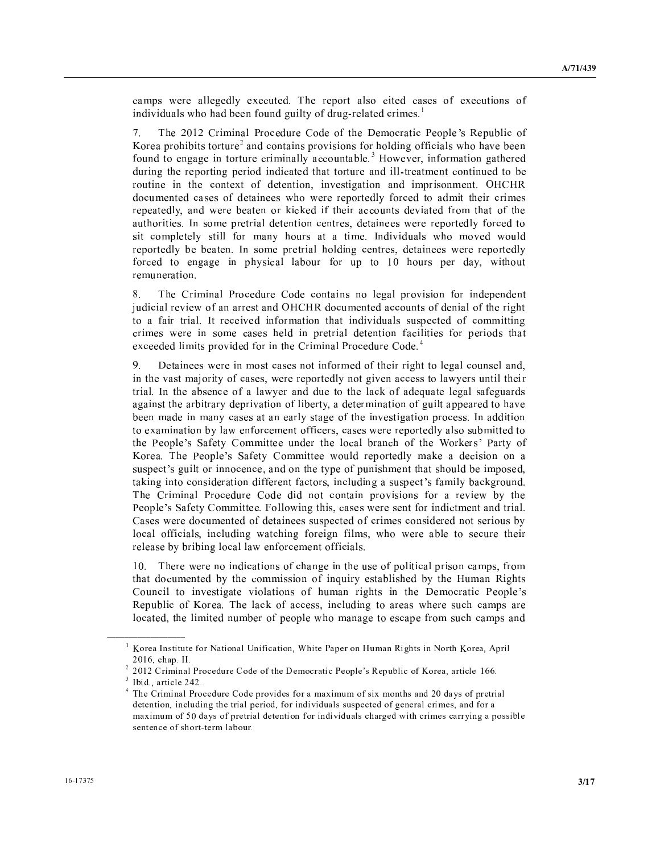. <sup>S</sup> ] - <sup>U</sup> T - <sup>R</sup> <sup>S</sup> - <sup>V</sup> T <sup>V</sup> - \ - <sup>T</sup> ] - <sup>V</sup> <sup>T</sup> - <sup>T</sup> <sup>U</sup> <sup>V</sup> - <sup>T</sup> - .

 $\overline{\phantom{0}}$  <sup>R</sup> - . <sup>W</sup> - <sup>T</sup> - <sup>V</sup> . <sup>W</sup> <sup>S</sup> <sup>X</sup> <sup>Y</sup> <sup>S</sup> <sup>T</sup> <sup>V</sup> Z <sup>S</sup> <sup>T</sup> - <sup>S</sup> \ <sup>V</sup> - <sup>V</sup> <sup>V</sup> ] \ V <sup>T</sup> - <sup>T</sup> . <sup>U</sup> <sup>T</sup> ] \ <sup>b</sup> <sup>V</sup> . - - <sup>T</sup> <sup>S</sup> <sup>S</sup> - - - <sup>T</sup> - . <sup>T</sup> -  $\mathbf{v} = \mathbf{v} + \mathbf{v} + \mathbf{v} + \mathbf{v} + \mathbf{v} + \mathbf{v} + \mathbf{v} + \mathbf{v} + \mathbf{v} + \mathbf{v} + \mathbf{v} + \mathbf{v} + \mathbf{v} + \mathbf{v} + \mathbf{v} + \mathbf{v} + \mathbf{v} + \mathbf{v} + \mathbf{v} + \mathbf{v} + \mathbf{v} + \mathbf{v} + \mathbf{v} + \mathbf{v} + \mathbf{v} + \mathbf{v} + \mathbf{v} + \mathbf{v} + \mathbf{v} + \mathbf{v} + \mathbf$ - T . - <sup>V</sup> - ] ] <sup>S</sup> - <sup>U</sup> <sup>V</sup> - - . .  $\mathcal{H} = \{ \mathcal{H} \mid \mathcal{H} \mid \mathcal{H} \mid \mathcal{H} \mid \mathcal{H} \mid \mathcal{H} \mid \mathcal{H} \mid \mathcal{H} \mid \mathcal{H} \mid \mathcal{H} \mid \mathcal{H} \mid \mathcal{H} \mid \mathcal{H} \mid \mathcal{H} \mid \mathcal{H} \mid \mathcal{H} \mid \mathcal{H} \mid \mathcal{H} \mid \mathcal{H} \mid \mathcal{H} \mid \mathcal{H} \mid \mathcal{H} \mid \mathcal{H} \mid \mathcal{H} \mid \mathcal{H} \mid \mathcal{H} \mid \mathcal$ The set of the set of the set of the set of the set of the set of the set of the set of the set of the set of the set of the set of the set of the set of the set of the set of the set of the set of the set of the set of t . <sup>S</sup> <sup>U</sup> <sup>V</sup> . <sup>U</sup> <sup>T</sup> . [ - \ - <sup>T</sup> ] . \ - ] <sup>T</sup> - <sup>S</sup> - <sup>U</sup> [ . <sup>S</sup> - <sup>b</sup> - ] <sup>S</sup> - <sup>U</sup>  $\overline{\phantom{a}}$  ,  $\overline{\phantom{a}}$  ,  $\overline{\phantom{a}}$  ,  $\overline{\phantom{a}}$  ,  $\overline{\phantom{a}}$  ,  $\overline{\phantom{a}}$  ,  $\overline{\phantom{a}}$  ,  $\overline{\phantom{a}}$  ,  $\overline{\phantom{a}}$  ,  $\overline{\phantom{a}}$  ,  $\overline{\phantom{a}}$  ,  $\overline{\phantom{a}}$  ,  $\overline{\phantom{a}}$  ,  $\overline{\phantom{a}}$  ,  $\overline{\phantom{a}}$  ,  $\overline{\phantom{a}}$ . <sup>T</sup> 

 $\sim$  <sup>R</sup> . <sup>W</sup> - <sup>T</sup> - <sup>S</sup> \ <sup>V</sup> - <sup>S</sup> - <sup>T</sup> - \ ] <sup>V</sup> - <sup>Y</sup> - T . - <sup>T</sup> <sup>V</sup> - <sup>V</sup> <sup>V</sup> [ \ - <sup>V</sup> . - \ - <sup>T</sup> <sup>T</sup> <sup>S</sup> - <sup>V</sup> . . . The set of the set of the set of the set of the set of the set of the set of the set of the set of the set of the set of the set of the set of the set of the set of the set of the set of the set of the set of the set of - - . <sup>S</sup> \ - - <sup>V</sup> . <sup>W</sup> - <sup>T</sup> -

 $\sim$  ] . <sup>V</sup> . - <sup>V</sup> <sup>T</sup> - <sup>b</sup>  $\bf{1}$  , and  $\bf{1}$  , and  $\bf{1}$  , and  $\bf{1}$  , and  $\bf{1}$  , and  $\bf{1}$  , and  $\bf{1}$  [ <sup>V</sup> ] <sup>U</sup> - - <sup>T</sup> <sup>V</sup> - <sup>T</sup> <sup>V</sup> <sup>T</sup> - <sup>U</sup> - <sup>S</sup> \ <sup>V</sup> <sup>U</sup> <sup>b</sup> - . <sup>V</sup> <sup>T</sup> <sup>S</sup> <sup>S</sup> - \ . - . <sup>U</sup> <sup>U</sup> <sup>V</sup> \ <sup>S</sup> [ - - . The set of the set of the set of the set of the set of the set of the set of the set of the set of the set of the set of the set of the set of the set of the set of the set of the set of the set of the set of the set of  $\mathcal{S} = \{ \mathcal{S} \mid \mathcal{S} \text{ and } \mathcal{S} \text{ and } \mathcal{S} \}$ Z <sup>R</sup> <sup>W</sup> <sup>S</sup> <sup>X</sup> ^ <sup>V</sup> <sup>U</sup> . . ] <sup>T</sup> - <sup>S</sup> - <sup>U</sup> . -  $\mathcal{S}$  , and the set of the set of the set of the set of the set of the set of the set of the set of the set of the set of the set of the set of the set of the set of the set of the set of the set of the set of the set - - <sup>V</sup> <sup>V</sup> <sup>V</sup> <sup>b</sup> <sup>T</sup> - <sup>T</sup> <sup>S</sup> <sup>X</sup> <sup>V</sup> . <sup>U</sup> <sup>T</sup> - R . <sup>W</sup> - <sup>T</sup> - - - <sup>S</sup> \ <sup>V</sup> \ ] <sup>U</sup> W <sup>S</sup> <sup>X</sup> ^ <sup>V</sup> <sup>U</sup> . . ] <sup>b</sup> ] <sup>V</sup> - . - ] - T . - <sup>V</sup> - <sup>T</sup> <sup>S</sup> - <sup>V</sup> . - - <sup>T</sup> <sup>U</sup> <sup>V</sup> <sup>V</sup> <sup>b</sup> <sup>T</sup> - ] <sup>V</sup> <sup>V</sup> . <sup>b</sup> ] ] T <sup>U</sup> ] <sup>V</sup> . <sup>V</sup> <sup>V</sup>

- <sup>R</sup> ] - <sup>V</sup> <sup>T</sup> <sup>V</sup> <sup>S</sup> <sup>S</sup> . <sup>S</sup> <sup>b</sup> <sup>V</sup> . - T . - <sup>U</sup> . . <sup>V</sup> <sup>T</sup> <sup>U</sup> - <sup>U</sup> <sup>T</sup> . <sup>Y</sup> <sup>T</sup> \ \ <sup>V</sup> <sup>T</sup> . . <sup>W</sup> <sup>S</sup> <sup>X</sup> Y <sup>S</sup> <sup>T</sup> <sup>V</sup> <sup>Z</sup> <sup>R</sup> <sup>V</sup> <sup>b</sup> <sup>T</sup> - ] <sup>T</sup> . <sup>S</sup>  $\bullet$  . So a set of the set of the set of the set of the set of the set of the set of the set of the set of the set of the set of the set of the set of the set of the set of the set of the set of the set of the set of the

ا ي الله عن الله عن الله عن الله عن الله عن الله عن الله عن الله عن الله عن الله عن الله عن الله عن ا ª « <sup>¬</sup> £ <sup>w</sup> <sup>e</sup> <sup>l</sup> <sup>h</sup> <sup>y</sup> <sup>y</sup>

 $\overline{\phantom{a}}$  i r f  $\overline{\phantom{a}}$  i  $\overline{\phantom{a}}$  i  $\overline{\phantom{a}}$  i  $\overline{\phantom{a}}$  i  $\overline{\phantom{a}}$  i  $\overline{\phantom{a}}$  i  $\overline{\phantom{a}}$  i  $\overline{\phantom{a}}$  i  $\overline{\phantom{a}}$  i  $\overline{\phantom{a}}$  i  $\overline{\phantom{a}}$  i  $\overline{\phantom{a}}$  i  $\overline{\phantom{a}}$  i  $\overline{\phantom{a}}$  i  $\overline{\phantom$ 3 a r y a g i g y g i g

 $d$  er at in g i r f i g i u s i g i n p i u j g i u j g i u j g i u j e m i u j g i u j e m i u j g i u j e m i u r <sup>f</sup> <sup>j</sup> <sup>f</sup> <sup>u</sup> <sup>j</sup> <sup>q</sup> <sup>i</sup> <sup>u</sup> £ <sup>q</sup> <sup>u</sup> <sup>w</sup> <sup>t</sup> <sup>n</sup> <sup>r</sup> <sup>q</sup> <sup>u</sup> ¨ <sup>j</sup> <sup>e</sup> <sup>f</sup> <sup>j</sup> <sup>g</sup> <sup>q</sup> <sup>l</sup> <sup>t</sup> <sup>h</sup> <sup>f</sup> <sup>g</sup> <sup>q</sup> <sup>i</sup> <sup>r</sup> £ <sup>s</sup> <sup>i</sup> <sup>g</sup> <sup>q</sup> <sup>u</sup> <sup>r</sup> <sup>q</sup> <sup>x</sup> <sup>q</sup> <sup>r</sup> <sup>n</sup> <sup>l</sup> <sup>t</sup> <sup>m</sup> <sup>m</sup> <sup>n</sup> <sup>m</sup> <sup>h</sup> <sup>f</sup> <sup>w</sup> <sup>j</sup> <sup>f</sup> <sup>r</sup> <sup>i</sup> <sup>s</sup> ¨ <sup>f</sup> <sup>u</sup> <sup>f</sup> <sup>g</sup> <sup>l</sup> <sup>t</sup> <sup>w</sup> <sup>g</sup> <sup>q</sup> <sup>p</sup> <sup>f</sup> <sup>m</sup> £ <sup>l</sup> <sup>u</sup> <sup>r</sup> <sup>s</sup> <sup>i</sup> <sup>g</sup> <sup>l</sup> p <sup>l</sup> <sup>µ</sup> <sup>q</sup> <sup>p</sup> <sup>n</sup> <sup>p</sup> <sup>i</sup> <sup>s</sup> · « r <sup>l</sup> ¶ <sup>m</sup> <sup>i</sup> <sup>s</sup> <sup>h</sup> <sup>g</sup> <sup>f</sup> <sup>j</sup> <sup>g</sup> <sup>q</sup> <sup>l</sup> <sup>t</sup> <sup>r</sup> <sup>f</sup> <sup>j</sup> <sup>f</sup> <sup>u</sup> <sup>j</sup> <sup>q</sup> <sup>i</sup> <sup>u</sup> <sup>s</sup> <sup>i</sup> <sup>g</sup> <sup>q</sup> <sup>u</sup> <sup>r</sup> <sup>q</sup> <sup>x</sup> <sup>q</sup> <sup>r</sup> <sup>n</sup> <sup>l</sup> <sup>t</sup> <sup>m</sup> <sup>w</sup> <sup>e</sup> <sup>l</sup> <sup>g</sup> ¨ <sup>f</sup> <sup>r</sup> <sup>k</sup> <sup>q</sup> <sup>j</sup> <sup>e</sup> <sup>w</sup> <sup>g</sup> <sup>q</sup> <sup>p</sup> <sup>f</sup> <sup>m</sup> <sup>w</sup> <sup>l</sup> <sup>g</sup> <sup>g</sup> ¶ <sup>q</sup> <sup>u</sup> ¨ <sup>l</sup> <sup>h</sup> <sup>i</sup> <sup>m</sup> <sup>m</sup> <sup>q</sup> <sup>o</sup> <sup>t</sup> <sup>f</sup> m f u w f u w f i g i g i g i g i g i g i g i g p t l o i n g p t l o i n g p t l o i n g p t l o i n g p t l o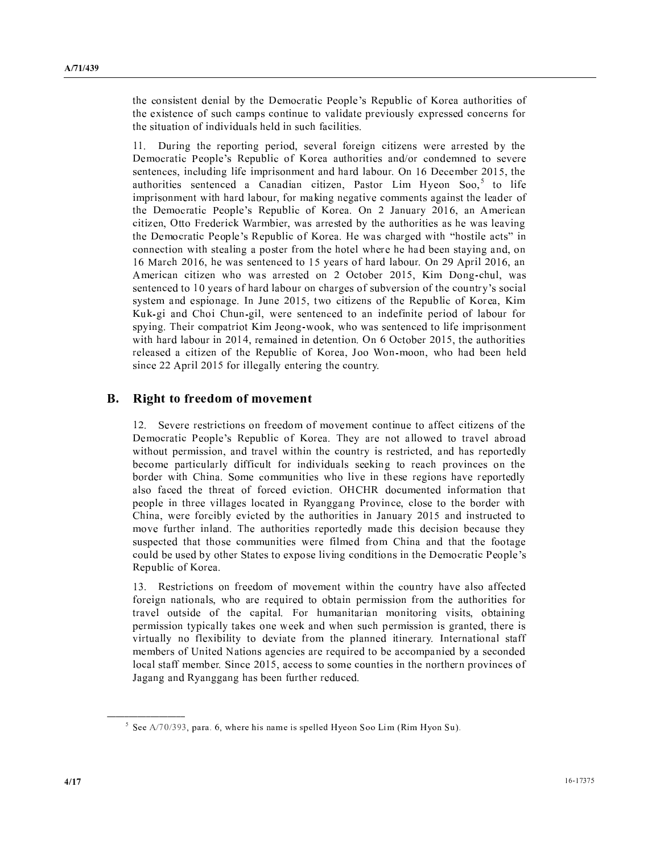$\mathcal{H} = \{ \mathcal{H} \mid \mathcal{H} \}$  , and the set of  $\mathcal{H} = \{ \mathcal{H} \}$  , and the set of  $\mathcal{H} = \{ \mathcal{H} \}$  , and the set of  $\mathcal{H} = \{ \mathcal{H} \}$  , and the set of  $\mathcal{H} = \{ \mathcal{H} \}$  , and the set of  $\mathcal{H} = \{ \mathcal{H} \}$  , and th <sup>V</sup> <sup>T</sup> . <sup>S</sup> <sup>T</sup> \ - <sup>S</sup> \ <sup>T</sup> <sup>U</sup> <sup>S</sup> - <sup>V</sup>  $\mathcal{X} \cup \mathcal{Y} \cup \mathcal{Y} \cup \mathcal{Y} \cup \mathcal{Y} \cup \mathcal{Y} \cup \mathcal{Y} \cup \mathcal{Y} \cup \mathcal{Y} \cup \mathcal{Y} \cup \mathcal{Y} \cup \mathcal{Y} \cup \mathcal{Y} \cup \mathcal{Y} \cup \mathcal{Y} \cup \mathcal{Y} \cup \mathcal{Y} \cup \mathcal{Y} \cup \mathcal{Y} \cup \mathcal{Y} \cup \mathcal{Y} \cup \mathcal{Y} \cup \mathcal{Y} \cup \mathcal{Y} \cup \mathcal{Y} \cup \mathcal{Y} \cup \mathcal{Y} \cup \mathcal{$ 

- - <sup>T</sup> <sup>S</sup> <sup>S</sup> - <sup>b</sup> \ <sup>V</sup> <sup>¹</sup> ] - <sup>U</sup> . <sup>W</sup> <sup>S</sup> <sup>X</sup> <sup>Y</sup> <sup>S</sup> <sup>T</sup> <sup>V</sup> <sup>Z</sup> <sup>T</sup> - - . - \ <sup>b</sup> <sup>T</sup> - <sup>V</sup> . <sup>S</sup> . - - <sup>T</sup> - . - b <sup>T</sup> - - <sup>¹</sup> <sup>b</sup> <sup>W</sup> <sup>º</sup> . <sup>U</sup> ^ <sup>b</sup> » <sup>V</sup> . <sup>S</sup> . ] - <sup>T</sup> <sup>b</sup> <sup>V</sup> . \ . . - <sup>V</sup>  $\mathcal{L} = \mathcal{L} \mathcal{L} = \mathcal{L} \mathcal{L} = \mathcal{L} \mathcal{L} \mathcal{L} + \mathcal{L} \mathcal{L} \mathcal{L} + \mathcal{L} \mathcal{L} \mathcal{L} + \mathcal{L} \mathcal{L} \mathcal{L} + \mathcal{L} \mathcal{L} \mathcal{L} + \mathcal{L} \mathcal{L} \mathcal{L} + \mathcal{L} \mathcal{L} \mathcal{L} \mathcal{L} + \mathcal{L} \mathcal{L} \mathcal{L} \mathcal{L} + \mathcal{L} \mathcal{L} \mathcal{L} \mathcal{L$  $\mathbf{b}$  , and  $\mathbf{b}$  , and  $\mathbf{b}$  , and  $\mathbf{b}$  , and  $\mathbf{b}$  , and  $\mathbf{b}$  , and  $\mathbf{b}$  , and  $\mathbf{b}$  , and  $\mathbf{b}$  , and  $\mathbf{b}$  , and  $\mathbf{b}$  , and  $\mathbf{b}$  , and  $\mathbf{b}$  , and  $\mathbf{b}$  , and  $\mathbf{b}$  , . The second contract of the second contract of the second contract of the second contract of the second contract of the second contract of the second contract of the second contract of the second contract of the second c ] <sup>S</sup> <sup>V</sup> . ] - <sup>U</sup> - <sup>b</sup> - ¿ - b ] - - U <sup>V</sup> - <sup>T</sup> , S - b , . <sup>¹</sup> ] ] - - b <sup>Z</sup> . <sup>T</sup> <sup>b</sup> ] - - <sup>U</sup> <sup>V</sup> - <sup>T</sup> <sup>V</sup> <sup>T</sup> \ <sup>V</sup> <sup>T</sup> <sup>U</sup> <sup>X</sup> <sup>U</sup> . - <sup>S</sup> [ <sup>¼</sup> <sup>T</sup> - b ] <sup>¹</sup> <sup>V</sup> <sup>Y</sup> <sup>S</sup> <sup>T</sup> <sup>V</sup> <sup>Z</sup> <sup>b</sup> <sup>Z</sup> . Z <sup>T</sup> - <sup>T</sup> <sup>b</sup> ] - - <sup>V</sup> <sup>S</sup> - <sup>V</sup> <sup>T</sup> <sup>V</sup>  $\mathbf{y} = \mathbf{y} + \mathbf{y} + \mathbf{y} + \mathbf{y} + \mathbf{y} + \mathbf{y} + \mathbf{y} + \mathbf{y} + \mathbf{y} + \mathbf{y} + \mathbf{y} + \mathbf{y} + \mathbf{y} + \mathbf{y} + \mathbf{y} + \mathbf{y} + \mathbf{y} + \mathbf{y} + \mathbf{y} + \mathbf{y} + \mathbf{y} + \mathbf{y} + \mathbf{y} + \mathbf{y} + \mathbf{y} + \mathbf{y} + \mathbf{y} + \mathbf{y} + \mathbf{y} + \mathbf{y} + \mathbf$ ] - <sup>T</sup> - b . - - - b <sup>T</sup> . The set of the set of the set of the set of the set of the set of the set of the set of the set of the set of the set of the set of the set of the set of the set of the set of the set of the set of the set of the set of , which is a set of the set of the set of the set of the set of the set of the set of the set of the set of the set of the set of the set of the set of the set of the set of the set of the set of the set of the set of the

#### $\overline{\phantom{a}}$ ; <sup>B</sup> @ @ <sup>&</sup>gt; <sup>A</sup> ? <sup>&</sup>lt; <sup>&</sup>lt; <sup>&</sup>gt; <sup>Á</sup> <sup>&</sup>gt; <sup>A</sup> <sup>Á</sup> <sup>&</sup>gt; <sup>Â</sup> <sup>&</sup>lt; <sup>Á</sup> <sup>&</sup>lt; <sup>I</sup> @

 $\overline{\phantom{a}}$  ,  $\overline{\phantom{a}}$  ,  $\overline{\phantom{a}}$  ,  $\overline{\phantom{a}}$  ,  $\overline{\phantom{a}}$  ,  $\overline{\phantom{a}}$  ,  $\overline{\phantom{a}}$  ,  $\overline{\phantom{a}}$  ,  $\overline{\phantom{a}}$  ,  $\overline{\phantom{a}}$  ,  $\overline{\phantom{a}}$  ,  $\overline{\phantom{a}}$  ,  $\overline{\phantom{a}}$  ,  $\overline{\phantom{a}}$  ,  $\overline{\phantom{a}}$  ,  $\overline{\phantom{a}}$  . <sup>W</sup> <sup>S</sup> <sup>X</sup> <sup>Y</sup> <sup>S</sup> <sup>T</sup> <sup>V</sup> <sup>Z</sup> <sup>R</sup> <sup>U</sup> ] - \ -  $\mathcal{L} = \mathcal{L} \mathcal{L} = \mathcal{L} \mathcal{L} = \mathcal{L} \mathcal{L} = \mathcal{L} \mathcal{L} = \mathcal{L} \mathcal{L} \mathcal{L} = \mathcal{L} \mathcal{L} \mathcal{L} = \mathcal{L} \mathcal{L} \mathcal{L} \mathcal{L} = \mathcal{L} \mathcal{L} \mathcal{L} \mathcal{L} \mathcal{L} \mathcal{L} = \mathcal{L} \mathcal{L} \mathcal{L} \mathcal{L} \mathcal{L} \mathcal{L} \mathcal{L} \mathcal{L} \mathcal{L} \mathcal{L} \$  . <sup>S</sup> T <sup>U</sup> - <sup>V</sup> <sup>V</sup> T <sup>V</sup> - \ - <sup>T</sup> <sup>S</sup> \ - ] ^ . . . <sup>T</sup> ] \ \ <sup>S</sup> - <sup>U</sup> <sup>V</sup> - <sup>V</sup> <sup>V</sup> - \ <sup>Y</sup> - T . - <sup>V</sup> . S <sup>S</sup> \ - <sup>Y</sup> <sup>U</sup> <sup>W</sup> \ <sup>b</sup> - ]  $\alpha$  , and the contract of the contract of the contract of the contract of the contract of the contract of the contract of the contract of the contract of the contract of the contract of the contract of the contract of th . \ <sup>V</sup> <sup>T</sup> - <sup>R</sup> <sup>T</sup> <sup>S</sup> - <sup>U</sup> . - - <sup>T</sup> <sup>U</sup> <sup>T</sup> <sup>S</sup> - . . <sup>T</sup> ] <sup>V</sup> . - <sup>V</sup> . - <sup>V</sup> <sup>T</sup> - <sup>T</sup> - <sup>U</sup> ^ <sup>S</sup> \ - . <sup>W</sup> <sup>S</sup> <sup>X</sup> Y <sup>S</sup> <sup>T</sup> <sup>V</sup> <sup>Z</sup>

- <sup>Y</sup> <sup>V</sup> - . <sup>V</sup> . \ . ] <sup>T</sup> <sup>U</sup> \ <sup>V</sup> <sup>V</sup> -  $\overline{\phantom{a}}$  ,  $\overline{\phantom{a}}$  ,  $\overline{\phantom{a}}$  ,  $\overline{\phantom{a}}$  ,  $\overline{\phantom{a}}$  ,  $\overline{\phantom{a}}$  ,  $\overline{\phantom{a}}$  ,  $\overline{\phantom{a}}$  $\bf{1}$  ,  $\bf{1}$  ,  $\bf{1}$  ,  $\bf{1}$  ,  $\bf{1}$  ,  $\bf{1}$  ,  $\bf{1}$  ,  $\bf{1}$  ,  $\bf{1}$  ,  $\bf{1}$  ,  $\bf{1}$  ,  $\bf{1}$  ,  $\bf{1}$  ,  $\bf{1}$  ,  $\bf{1}$  ,  $\bf{1}$  ,  $\bf{1}$  ,  $\bf{1}$  ,  $\bf{1}$  ,  $\bf{1}$  ,  $\bf{1}$  ,  $\bf{1}$  , S . <sup>U</sup> <sup>S</sup> <sup>U</sup> ] - ] <sup>T</sup> <sup>S</sup> . - <sup>b</sup> \ <sup>T</sup> <sup>U</sup> <sup>V</sup> <sup>U</sup> - \ <sup>V</sup> . <sup>S</sup> - <sup>U</sup> [ <sup>V</sup> <sup>V</sup> . . <sup>V</sup> \_ - ` <sup>T</sup> - . <sup>S</sup> - <sup>U</sup> - - <sup>V</sup> <sup>V</sup> . . ^ - b . <sup>T</sup> <sup>S</sup> \ <sup>V</sup> ¼ - <sup>Y</sup> <sup>U</sup> <sup>V</sup> <sup>T</sup> - <sup>T</sup> -

 $\delta$  a f e f contract f in the first form of the first form of  $\delta$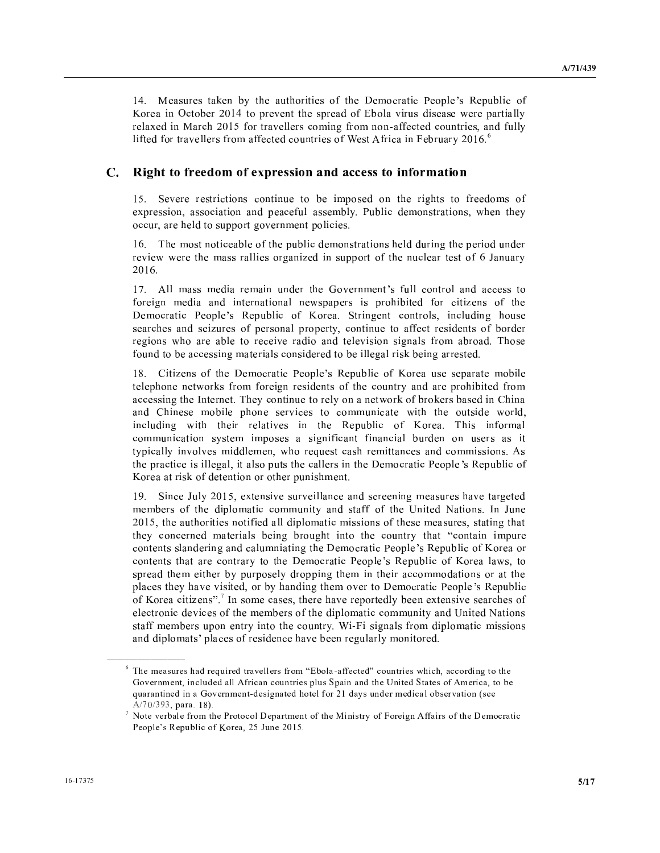14. Measures taken by the authorities of the Democratic People's Republic of Korea in October 2014 to prevent the spread of Ebola virus disease were partially relaxed in March 2015 for travellers coming from non-affected countries, and fully lifted for travellers from affected countries of West Africa in February 2016.<sup>6</sup>

#### $\mathbf{C}$ . Right to freedom of expression and access to information

15. Severe restrictions continue to be imposed on the rights to freedoms of expression, association and peaceful assembly. Public demonstrations, when they occur, are held to support government policies.

16. The most noticeable of the public demonstrations held during the period under review were the mass rallies organized in support of the nuclear test of 6 January 2016.

17. All mass media remain under the Government's full control and access to foreign media and international newspapers is prohibited for citizens of the Democratic People's Republic of Korea. Stringent controls, including house searches and seizures of personal property, continue to affect residents of border regions who are able to receive radio and television signals from abroad. Those found to be accessing materials considered to be illegal risk being arrested.

18. Citizens of the Democratic People's Republic of Korea use separate mobile telephone networks from foreign residents of the country and are prohibited from accessing the Internet. They continue to rely on a network of brokers based in China and Chinese mobile phone services to communicate with the outside world, including with their relatives in the Republic of Korea. This informal communication system imposes a significant financial burden on users as it typically involves middlemen, who request cash remittances and commissions. As the practice is illegal, it also puts the callers in the Democratic People's Republic of Korea at risk of detention or other punishment.

19. Since July 2015, extensive surveillance and screening measures have targeted members of the diplomatic community and staff of the United Nations. In June 2015, the authorities notified all diplomatic missions of these measures, stating that they concerned materials being brought into the country that "contain impure contents slandering and calumniating the Democratic People's Republic of Korea or contents that are contrary to the Democratic People's Republic of Korea laws, to spread them either by purposely dropping them in their accommodations or at the places they have visited, or by handing them over to Democratic People's Republic of Korea citizens".<sup>7</sup> In some cases, there have reportedly been extensive searches of electronic devices of the members of the diplomatic community and United Nations staff members upon entry into the country. Wi-Fi signals from diplomatic missions and diplomats' places of residence have been regularly monitored.

 $6$  The measures had required travellers from "Ebola-affected" countries which, according to the Government, included all African countries plus Spain and the United States of America, to be quarantined in a Government-designated hotel for 21 days under medical observation (see  $A/70/393$ , para. 18).

 $\frac{7}{7}$  Note verbale from the Protocol Department of the Ministry of Foreign Affairs of the Democratic People's Republic of Korea, 25 June 2015.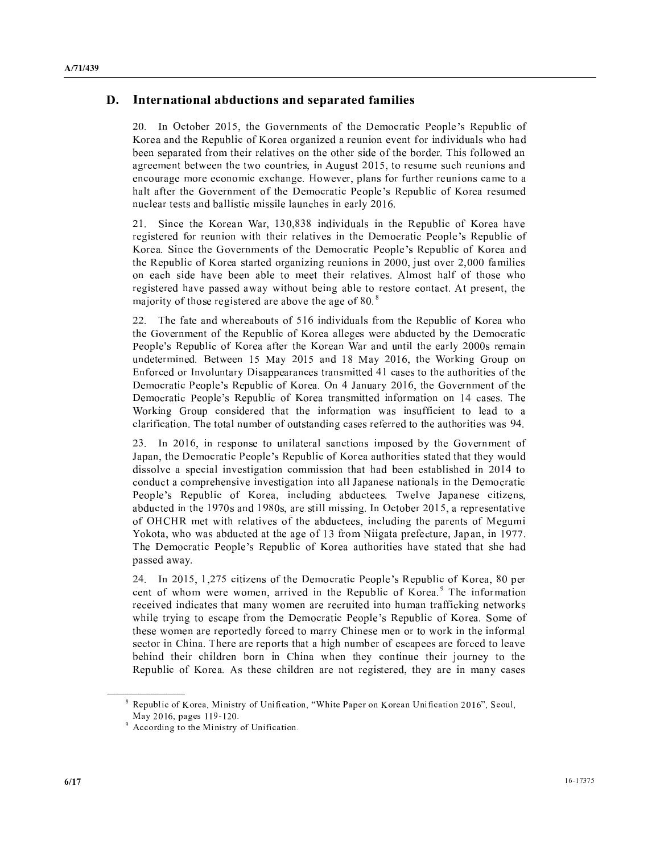#### $\sim$   $\sim$   $\sim$ I a constant  $\mathbf{A}$  is a finite set of  $\mathbf{A}$  . It is a finite set of  $\mathbf{A}$  is a finite set of  $\mathbf{A}$

 [ - b \ . <sup>V</sup> . <sup>W</sup> <sup>S</sup> <sup>X</sup> <sup>Y</sup> <sup>S</sup> <sup>T</sup> <sup>V</sup> Z - <sup>Y</sup> <sup>S</sup> <sup>T</sup> <sup>V</sup> <sup>Z</sup> <sup>¹</sup> - <sup>T</sup> \ <sup>V</sup> - \ - <sup>T</sup> ] - <sup>S</sup> - <sup>V</sup> . \ - <sup>V</sup> - <sup>R</sup> <sup>V</sup> ] - . ] ] <sup>T</sup> <sup>b</sup> , T <sup>T</sup> - b <sup>T</sup> . <sup>T</sup> <sup>T</sup> -  $\mathbf{r} = \mathbf{r} \cdot \mathbf{r} \cdot \mathbf{r} \cdot \mathbf{r} \cdot \mathbf{r} \cdot \mathbf{r} \cdot \mathbf{r} \cdot \mathbf{r} \cdot \mathbf{r} \cdot \mathbf{r} \cdot \mathbf{r} \cdot \mathbf{r} \cdot \mathbf{r} \cdot \mathbf{r} \cdot \mathbf{r} \cdot \mathbf{r} \cdot \mathbf{r} \cdot \mathbf{r} \cdot \mathbf{r} \cdot \mathbf{r} \cdot \mathbf{r} \cdot \mathbf{r} \cdot \mathbf{r} \cdot \mathbf{r} \cdot \mathbf{r} \cdot \mathbf{r} \cdot \mathbf{r$  $\mathcal{N} = \mathcal{N} = \mathcal{N} = \mathcal{N} = \mathcal{N} = \mathcal{N} = \mathcal{N} = \mathcal{N} = \mathcal{N} = \mathcal{N} = \mathcal{N} = \mathcal{N} = \mathcal{N} = \mathcal{N} = \mathcal{N} = \mathcal{N} = \mathcal{N} = \mathcal{N} = \mathcal{N} = \mathcal{N} = \mathcal{N} = \mathcal{N} = \mathcal{N} = \mathcal{N} = \mathcal{N} = \mathcal{N} = \mathcal{N} = \mathcal{N} = \mathcal{N} = \mathcal{N} = \mathcal{N} = \mathcal$ <sup>T</sup> - . <sup>T</sup> <sup>U</sup> -

 - ^ <sup>Z</sup> <sup>a</sup> <sup>b</sup> - <sup>b</sup> / / - \ - <sup>T</sup> <sup>Y</sup> <sup>S</sup> <sup>T</sup> <sup>V</sup> <sup>Z</sup> \ - <sup>V</sup> <sup>T</sup> ] \ . <sup>W</sup> <sup>S</sup> <sup>X</sup> <sup>Y</sup> <sup>S</sup> <sup>T</sup> <sup>V</sup> Z ^ \ . <sup>V</sup> . <sup>W</sup> <sup>S</sup> <sup>X</sup> <sup>Y</sup> <sup>S</sup> <sup>T</sup> <sup>V</sup> <sup>Z</sup> -  $\mathcal{X} = \{x \in \mathbb{R}^d : \mathbb{R}^d : \mathbb{R}^d : \mathbb{R}^d : \mathbb{R}^d : \mathbb{R}^d : \mathbb{R}^d : \mathbb{R}^d : \mathbb{R}^d : \mathbb{R}^d : \mathbb{R}^d : \mathbb{R}^d : \mathbb{R}^d : \mathbb{R}^d : \mathbb{R}^d : \mathbb{R}^d : \mathbb{R}^d : \mathbb{R}^d : \mathbb{R}^d : \mathbb{R}^d : \mathbb{R}^d : \mathbb{R}^d : \mathbb{R}^d : \$  - \ . \ , . <sup>V</sup> <sup>V</sup> ]  $\mathbf{S} = \mathbf{S} + \mathbf{S} + \mathbf{S} + \mathbf{S} + \mathbf{S} + \mathbf{S} + \mathbf{S} + \mathbf{S} + \mathbf{S} + \mathbf{S} + \mathbf{S} + \mathbf{S} + \mathbf{S} + \mathbf{S} + \mathbf{S} + \mathbf{S} + \mathbf{S} + \mathbf{S} + \mathbf{S} + \mathbf{S} + \mathbf{S} + \mathbf{S} + \mathbf{S} + \mathbf{S} + \mathbf{S} + \mathbf{S} + \mathbf{S} + \mathbf{S} + \mathbf{S} + \mathbf{S} + \mathbf$ . The set of the set of the set of the set of  $\alpha$  and  $\beta$ 

 <sup>R</sup> <sup>V</sup> - ] <sup>T</sup> <sup>V</sup> - - \ - <sup>T</sup> <sup>V</sup> . <sup>Y</sup> <sup>S</sup> <sup>T</sup> <sup>V</sup> <sup>Z</sup> ]  $\alpha$  .  $\alpha$  ,  $\alpha$  ,  $\alpha$  ,  $\alpha$  ,  $\alpha$  ,  $\alpha$  ,  $\alpha$  ,  $\alpha$  ,  $\alpha$  ,  $\alpha$  ,  $\alpha$  ,  $\alpha$  ,  $\alpha$  ,  $\alpha$  ,  $\alpha$  ,  $\alpha$  ,  $\alpha$  ,  $\alpha$  ,  $\alpha$  ,  $\alpha$  ,  $\alpha$  ,  $\alpha$  ,  $\alpha$  ,  $\alpha$  ,  $\alpha$  ,  $\alpha$  ,  $\alpha$  ,  $\alpha$  ,  $\alpha$  ,  $\alpha$  ,  $\alpha$ which is a set of the set of the set of the second of the set of the set of the set of the set of the set of t . The second contract is the second of the second of the second contract of the second contract of the second of the second contract of the second contract of the second contract of the second contract of the second contr — A II THE RESERVE TO THE RESERVE TO THE RESERVE TO THE RESERVE TO THE RESERVE TO THE RESERVE TO THE RESERVE TO THE RESERVE TO THE RESERVE TO THE RESERVE TO THE RESERVE TO THE RESERVE TO THE RESERVE TO THE RESERVE TO THE . <sup>W</sup> <sup>S</sup> <sup>X</sup> <sup>Y</sup> <sup>S</sup> <sup>T</sup> <sup>V</sup> <sup>Z</sup> ¼ <sup>T</sup> <sup>U</sup> - b \ . <sup>V</sup> . <sup>W</sup> <sup>S</sup> <sup>X</sup> <sup>Y</sup> <sup>S</sup> <sup>T</sup> <sup>V</sup> <sup>Z</sup> . - <sup>V</sup> . - <sup>R</sup> a <sup>T</sup> <sup>S</sup> - - <sup>V</sup> . ] <sup>T</sup> <sup>V</sup> <sup>V</sup> - <sup>V</sup> <sup>R</sup> <sup>T</sup> . <sup>V</sup> <sup>T</sup> - <sup>V</sup> - <sup>T</sup> ]

 [ - b <sup>S</sup> <sup>T</sup> . <sup>S</sup> - <sup>U</sup> \ . <sup>V</sup> ¼ <sup>S</sup> <sup>b</sup> . <sup>W</sup> <sup>S</sup> <sup>X</sup> <sup>Y</sup> <sup>S</sup> <sup>T</sup> <sup>V</sup> <sup>Z</sup> <sup>T</sup> - <sup>U</sup> ] <sup>T</sup> - - \ <sup>S</sup> \ . . - - -  $\mathcal{M} = \{ \mathcal{M} \mid \mathcal{M} = \{ \mathcal{M} \mid \mathcal{M} = \mathcal{M} \mid \mathcal{M} = \mathcal{M} \mid \mathcal{M} = \mathcal{M} \mid \mathcal{M} = \mathcal{M} \mid \mathcal{M} = \mathcal{M} \mid \mathcal{M} = \mathcal{M} \mid \mathcal{M} = \mathcal{M} \mid \mathcal{M} = \mathcal{M} \mid \mathcal{M} = \mathcal{M} \mid \mathcal{M} = \mathcal{M} \mid \mathcal{M} = \mathcal{M} \mid \mathcal{M} = \mathcal{M} \mid \mathcal{M}$ where the state of the state of the state of the state of the state of the state of the state of the state of  $\mathbf{A} = \mathbf{A} + \mathbf{B} + \mathbf{B} + \mathbf{B} + \mathbf{B} + \mathbf{B} + \mathbf{B} + \mathbf{B} + \mathbf{B} + \mathbf{B} + \mathbf{B} + \mathbf{B} + \mathbf{B} + \mathbf{B} + \mathbf{B} + \mathbf{B} + \mathbf{B} + \mathbf{B} + \mathbf{B} + \mathbf{B} + \mathbf{B} + \mathbf{B} + \mathbf{B} + \mathbf{B} + \mathbf{B} + \mathbf{B} + \mathbf{B} + \mathbf{B} + \mathbf{B} + \mathbf{B} + \mathbf$  $\alpha$  .  $\alpha$  ,  $\alpha$  ,  $\alpha$  ,  $\alpha$  ,  $\alpha$  ,  $\alpha$  ,  $\alpha$  ,  $\alpha$  ,  $\alpha$  ,  $\alpha$  ,  $\alpha$  ,  $\alpha$  ,  $\alpha$  ,  $\alpha$  ,  $\alpha$  ,  $\alpha$  ,  $\alpha$  ,  $\alpha$  ,  $\alpha$  ,  $\alpha$  ,  $\alpha$  ,  $\alpha$  ,  $\alpha$  ,  $\alpha$  ,  $\alpha$  ,  $\alpha$  ,  $\alpha$  ,  $\alpha$  ,  $\alpha$  ,  $\alpha$  ,  $\alpha$ á <sup>b</sup> ] ] - <sup>T</sup> - <sup>V</sup> - V . ` <sup>S</sup> <sup>V</sup> <sup>T</sup> <sup>b</sup> <sup>¼</sup> <sup>S</sup> <sup>b</sup> - R . <sup>W</sup> <sup>S</sup> <sup>X</sup> <sup>Y</sup> <sup>S</sup> <sup>T</sup> <sup>V</sup> <sup>Z</sup> <sup>T</sup> \ - -  $S = \frac{1}{2}$  . The set of  $\mathcal{S} = \frac{1}{2}$ 

 [ - b - b <sup>¹</sup> <sup>V</sup> . <sup>W</sup> <sup>S</sup> <sup>X</sup> <sup>Y</sup> <sup>S</sup> <sup>T</sup> <sup>V</sup> <sup>Z</sup> <sup>b</sup> / <sup>S</sup> <sup>V</sup> ] . ] ] . <sup>b</sup> \ - <sup>Y</sup> <sup>S</sup> <sup>T</sup> <sup>V</sup> <sup>Z</sup> <sup>â</sup> <sup>R</sup> <sup>V</sup> . \ - - . <sup>U</sup> ] . <sup>T</sup> - <sup>T</sup> . <sup>V</sup> <sup>V</sup> ]  $\mathcal{S} = \{ \mathbf{U}_1, \mathbf{U}_2, \mathbf{U}_3, \mathbf{U}_4, \mathbf{U}_5, \mathbf{U}_6, \mathbf{U}_7, \mathbf{U}_8, \mathbf{U}_9, \mathbf{U}_9, \mathbf{U}_9, \mathbf{U}_9, \mathbf{U}_9, \mathbf{U}_9, \mathbf{U}_9, \mathbf{U}_9, \mathbf{U}_9, \mathbf{U}_9, \mathbf{U}_9, \mathbf{U}_9, \mathbf{U}_9, \mathbf{U}_9, \mathbf{U}_9, \mathbf{U}_9, \mathbf{U}_9, \mathbf{U}_9, \mathbf$  ] . <sup>S</sup> - <sup>U</sup> <sup>V</sup> - . <sup>U</sup> . ] <sup>V</sup> . <sup>R</sup> <sup>S</sup> <sup>T</sup> . <sup>V</sup> <sup>S</sup> <sup>V</sup> - \ - - ] <sup>U</sup> <sup>T</sup> <sup>T</sup> <sup>U</sup> Y <sup>S</sup> <sup>T</sup> <sup>V</sup> <sup>Z</sup> , - - <sup>b</sup> <sup>U</sup> . <sup>U</sup>

 $\stackrel{?}{\sim}$  in an i u d i u d i u d i u d i u d i u d i u d i u d i u d i u d i u d i u d i u d i u d i u d i u Ù <sup>l</sup> ¶ ª « <sup>¬</sup> £ <sup>h</sup> <sup>l</sup> ¨ <sup>f</sup> <sup>m</sup> <sup>¬</sup> <sup>¬</sup> È ¸ <sup>¬</sup> <sup>ª</sup> « y

ä © <sup>w</sup> <sup>w</sup> <sup>i</sup> <sup>g</sup> <sup>r</sup> <sup>q</sup> <sup>u</sup> ¨ <sup>j</sup> <sup>i</sup> <sup>j</sup> <sup>e</sup> <sup>f</sup> <sup>Ù</sup> <sup>q</sup> <sup>u</sup> <sup>q</sup> <sup>m</sup> <sup>j</sup> <sup>g</sup> ¶ <sup>i</sup> <sup>s</sup> ¢ <sup>u</sup> <sup>q</sup> <sup>s</sup> <sup>q</sup> <sup>w</sup> <sup>l</sup> <sup>j</sup> <sup>q</sup> <sup>i</sup> <sup>u</sup> <sup>y</sup>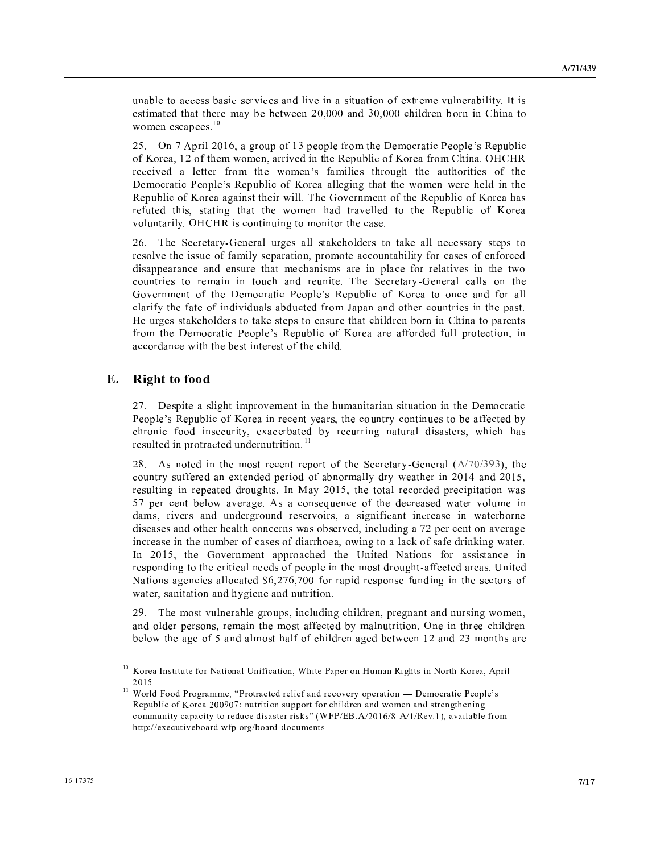The set of the set of the set of the set of the set of the set of the set of the set of the set of the set of the set of the set of the set of the set of the set of the set of the set of the set of the set of the set of t . The set of the set of the set of the set of the set of the set of the set of the set of the set of the set of the set of the set of the set of the set of the set of the set of the set of the set of the set of the set of  $\blacksquare$ 

 , S - b <sup>T</sup> <sup>S</sup> <sup>V</sup> - S <sup>S</sup> <sup>V</sup> . . <sup>W</sup> <sup>S</sup> <sup>X</sup> <sup>Y</sup> <sup>S</sup> <sup>T</sup>  $\overline{\phantom{a}}$  $\cdots$  .  $\cdots$  .  $\cdots$  .  $\cdots$  .  $\cdots$  .  $\cdots$  .  $\cdots$  .  $\cdots$  .  $\cdots$  .  $\cdots$  .  $\cdots$  .  $\cdots$  .  $\cdots$  .  $\cdots$  .  $\cdots$  .  $\cdots$  .  $\cdots$  .  $\cdots$  .  $\cdots$  .  $\cdots$  .  $\cdots$  .  $\cdots$  .  $\cdots$  .  $\cdots$  .  $\cdots$  .  $\cdots$  .  $\cdots$  .  $\cdots$  . <sup>W</sup> <sup>S</sup> <sup>X</sup> <sup>Y</sup> <sup>S</sup> <sup>T</sup> <sup>V</sup> <sup>Z</sup> ] . ] - Y <sup>S</sup> <sup>T</sup> <sup>V</sup> <sup>Z</sup> ] <sup>R</sup> \ . <sup>V</sup> <sup>Y</sup> <sup>S</sup> <sup>T</sup> <sup>V</sup> <sup>Z</sup>  $\overline{\phantom{a}}$  ,  $\overline{\phantom{a}}$  ,  $\overline{\phantom{a}}$  ,  $\overline{\phantom{a}}$  ,  $\overline{\phantom{a}}$  ,  $\overline{\phantom{a}}$  ,  $\overline{\phantom{a}}$  ,  $\overline{\phantom{a}}$  ,  $\overline{\phantom{a}}$  ,  $\overline{\phantom{a}}$  ,  $\overline{\phantom{a}}$  ,  $\overline{\phantom{a}}$  ,  $\overline{\phantom{a}}$  ,  $\overline{\phantom{a}}$  ,  $\overline{\phantom{a}}$  ,  $\overline{\phantom{a}}$  $\bf{U}$  , and  $\bf{U}$  is a set of  $\bf{U}$  is a set of  $\bf{U}$  is a set of  $\bf{U}$  is a set of  $\bf{U}$ 

 <sup>R</sup> ^ <sup>U</sup> <sup>T</sup> - <sup>U</sup> <sup>S</sup> \ <sup>T</sup> <sup>V</sup> <sup>V</sup> . <sup>U</sup> <sup>S</sup> <sup>b</sup> <sup>S</sup> . <sup>T</sup> <sup>U</sup> <sup>V</sup> <sup>V</sup> <sup>V</sup> - - <sup>S</sup> <sup>S</sup> - <sup>T</sup> . . <sup>S</sup> <sup>V</sup> \ ] <sup>T</sup> . <sup>T</sup> - <sup>T</sup> <sup>R</sup> ^ <sup>U</sup>  $\qquad \qquad \alpha \qquad \qquad \alpha \qquad \qquad$  $\mathcal{X} = \{x \in \mathbb{R}^d : |x| = 1, 2, \ldots, N-1, 3, \ldots, N-1, 3, \ldots, N-1, 3, \ldots, N-1, 3, \ldots, N-1, 3, \ldots, N-1, 3, \ldots, N-1, 3, \ldots, N-1, 3, \ldots, N-1, 3, \ldots, N-1, 3, \ldots, N-1, 3, \ldots, N-1, 3, \ldots, N-1, 3, \ldots, N-1, 3, \ldots, N-1, 3, \ldots, N-1, 3, \ldots, N-1, 3, \ld$  <sup>T</sup> - <sup>S</sup> <sup>T</sup> - <sup>S</sup> V . . <sup>W</sup> <sup>S</sup> <sup>X</sup> <sup>Y</sup> <sup>S</sup> <sup>T</sup> <sup>V</sup> <sup>Z</sup> <sup>V</sup> <sup>V</sup> - - <sup>V</sup> <sup>T</sup> <sup>S</sup> <sup>b</sup> - ] <sup>V</sup> -

#### æ ; <sup>B</sup> @ @ <sup>&</sup>gt; <sup>A</sup> <sup>&</sup>gt; <sup>&</sup>gt;

 <sup>S</sup> . <sup>S</sup> \ . <sup>T</sup> . <sup>T</sup> . where the contract of the contract of the contract of the contract of the contract of the contract of the contract of the contract of the contract of the contract of the contract of the contract of the contract of the cont  $\mathcal{P} = \{ \mathcal{P} \mid \mathcal{P} \text{ and } \mathcal{P} \text{ and } \mathcal{P} \}$ <sup>T</sup> - <sup>S</sup> - <sup>T</sup> - <sup>T</sup> 

 / , - . <sup>S</sup> <sup>V</sup> ^ <sup>U</sup> , <sup>b</sup> <sup>T</sup> <sup>U</sup> <sup>T</sup> <sup>V</sup> <sup>V</sup> - - - <sup>S</sup> - <sup>V</sup> . <sup>U</sup> - <sup>U</sup> ] - - - b <sup>T</sup> <sup>S</sup> - - <sup>T</sup> [ ¿ <sup>U</sup> - b - - <sup>S</sup> <sup>S</sup> ]  $\overline{\phantom{a}}$  , and the set of the set of the set of the set of the set of the set of the set of the set of the set of the set of the set of the set of the set of the set of the set of the set of the set of the set of the s  $\bullet$  . It is a set of the contract of the contract of the contract of the contract of the contract of the contract of the contract of the contract of the contract of the contract of the contract of the contract of the con - - ] \ - <sup>b</sup> <sup>T</sup> - <sup>S</sup> \ <sup>T</sup> . <sup>V</sup> <sup>V</sup> - <sup>b</sup> ] <sup>V</sup> <sup>V</sup> - ] [ - b \ . <sup>S</sup> <sup>S</sup> - \_ - ` <sup>V</sup> <sup>S</sup> - - <sup>V</sup> <sup>S</sup> <sup>S</sup> . - <sup>T</sup> <sup>V</sup> <sup>V</sup> - \_ - ` - <sup>ç</sup> b b <sup>V</sup> <sup>S</sup> - <sup>S</sup> <sup>V</sup> <sup>T</sup> - <sup>V</sup>  $\mathbf{b}$  ,  $\mathbf{b}$  ,  $\mathbf{b}$  ,  $\mathbf{c}$  ,  $\mathbf{b}$  ,  $\mathbf{d}$  ,  $\mathbf{b}$  ,  $\mathbf{b}$  ,  $\mathbf{c}$  ,  $\mathbf{c}$  ,  $\mathbf{c}$  ,  $\mathbf{c}$  ,  $\mathbf{c}$  ,  $\mathbf{c}$  ,  $\mathbf{c}$  ,  $\mathbf{c}$  ,  $\mathbf{c}$  ,  $\mathbf{c}$  ,  $\mathbf{c}$  ,  $\mathbf{c}$  ,

 <sup>R</sup> . \ <sup>T</sup> <sup>T</sup> <sup>S</sup> <sup>b</sup> <sup>T</sup> - - <sup>b</sup> <sup>S</sup> - <sup>T</sup> ] . <sup>b</sup> - - <sup>S</sup> <sup>b</sup> . . <sup>V</sup> <sup>V</sup> - <sup>U</sup> . <sup>T</sup> - ] <sup>V</sup> - . <sup>V</sup> <sup>V</sup> - - ] - - . 

è i <sup>g</sup> <sup>f</sup> <sup>l</sup> <sup>u</sup> <sup>m</sup> <sup>j</sup> <sup>q</sup> <sup>j</sup> <sup>n</sup> <sup>j</sup> <sup>f</sup> <sup>s</sup> <sup>i</sup> <sup>g</sup> ¡ <sup>l</sup> <sup>j</sup> <sup>q</sup> <sup>i</sup> <sup>u</sup> <sup>l</sup> <sup>t</sup> ¢ <sup>u</sup> <sup>q</sup> <sup>s</sup> <sup>q</sup> <sup>w</sup> <sup>l</sup> <sup>j</sup> <sup>q</sup> <sup>i</sup> <sup>u</sup> £ ¤ <sup>e</sup> <sup>q</sup> <sup>j</sup> <sup>f</sup> ¥ <sup>l</sup> <sup>h</sup> <sup>f</sup> <sup>g</sup> <sup>i</sup> <sup>u</sup> ¦ <sup>n</sup> <sup>p</sup> <sup>l</sup> <sup>u</sup> § <sup>q</sup> ¨ <sup>e</sup> <sup>j</sup> <sup>m</sup> <sup>q</sup> <sup>u</sup> ¡ <sup>i</sup> <sup>g</sup> <sup>j</sup> <sup>e</sup> i <sup>g</sup> <sup>f</sup> <sup>l</sup> £ © <sup>h</sup> <sup>g</sup> <sup>q</sup> <sup>t</sup> ª « <sup>¬</sup> · <sup>y</sup>

<sup>. .</sup> ¤ <sup>i</sup> <sup>g</sup> <sup>t</sup> <sup>r</sup> <sup>Ú</sup> <sup>i</sup> <sup>i</sup> <sup>r</sup> ¥ <sup>g</sup> <sup>i</sup> ¨ <sup>g</sup> <sup>l</sup> <sup>p</sup> <sup>p</sup> <sup>f</sup> £ <sup>Ó</sup> ¥ <sup>g</sup> <sup>i</sup> <sup>j</sup> <sup>g</sup> <sup>l</sup> <sup>w</sup> <sup>j</sup> <sup>f</sup> <sup>r</sup> <sup>g</sup> <sup>f</sup> <sup>t</sup> <sup>q</sup> <sup>f</sup> <sup>s</sup> <sup>l</sup> <sup>u</sup> <sup>r</sup> <sup>g</sup> <sup>f</sup> <sup>w</sup> <sup>i</sup> <sup>x</sup> <sup>f</sup> <sup>g</sup> ¶ <sup>i</sup> <sup>h</sup> <sup>f</sup> <sup>g</sup> <sup>l</sup> <sup>j</sup> <sup>q</sup> <sup>i</sup> <sup>u</sup> <sup>é</sup> ° <sup>f</sup> <sup>p</sup> <sup>i</sup> <sup>w</sup> <sup>g</sup> <sup>l</sup> <sup>j</sup> <sup>q</sup> <sup>w</sup> ¥ <sup>f</sup> <sup>i</sup> <sup>h</sup> <sup>t</sup> <sup>f</sup> <sup>±</sup> m § <sup>f</sup> <sup>h</sup> <sup>n</sup> <sup>o</sup> <sup>t</sup> <sup>q</sup> <sup>w</sup> <sup>i</sup> <sup>s</sup> i <sup>g</sup> <sup>f</sup> <sup>l</sup> <sup>ª</sup> « « È « Æ <sup>ê</sup> <sup>u</sup> <sup>n</sup> <sup>j</sup> <sup>g</sup> <sup>q</sup> <sup>j</sup> <sup>q</sup> <sup>i</sup> <sup>u</sup> <sup>m</sup> <sup>n</sup> <sup>h</sup> <sup>h</sup> <sup>i</sup> <sup>g</sup> <sup>j</sup> <sup>s</sup> <sup>i</sup> <sup>g</sup> <sup>w</sup> <sup>e</sup> <sup>q</sup> <sup>t</sup> <sup>r</sup> <sup>g</sup> <sup>f</sup> <sup>u</sup> <sup>l</sup> <sup>u</sup> <sup>r</sup> <sup>k</sup> <sup>i</sup> <sup>p</sup> <sup>f</sup> <sup>u</sup> <sup>l</sup> <sup>u</sup> <sup>r</sup> <sup>m</sup> <sup>j</sup> <sup>g</sup> <sup>f</sup> <sup>u</sup> ¨ <sup>j</sup> <sup>e</sup> <sup>f</sup> <sup>u</sup> <sup>q</sup> <sup>u</sup> ¨  $\mathcal{P}$  , the m in the contract  $\mathcal{P}$  is a contract of the contract of  $\mathcal{P}$  and  $\mathcal{P}$ e j j h ê Å f o i l g r y i l g r y i l g r y i l g r y i l g r y i l g r y i l g r y i l g r y i l g r y i l g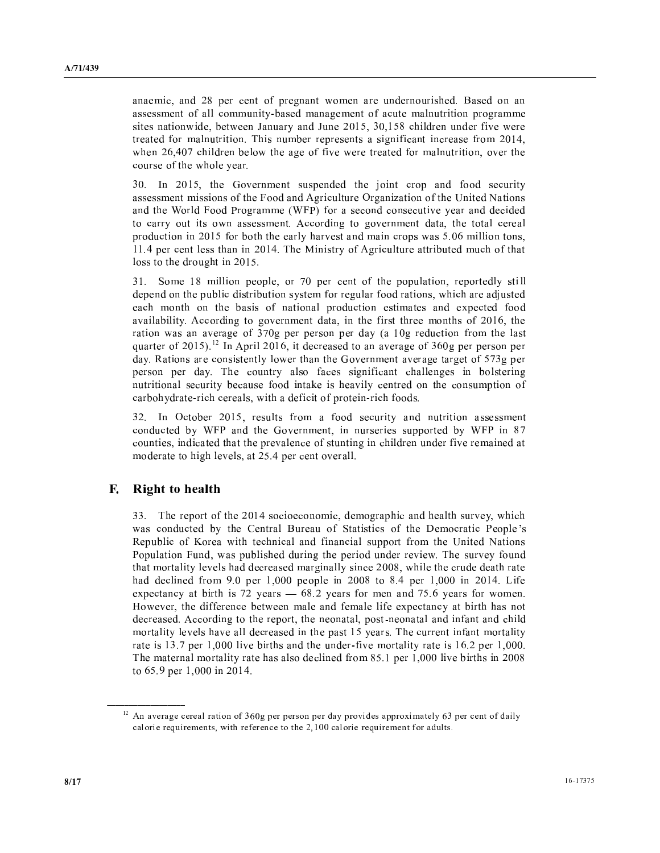anaemic, and 28 per cent of pregnant women are undernourished. Based on an assessment of all community-based management of acute malnutrition programme sites nationwide, between January and June 2015, 30,158 children under five were treated for malnutrition. This number represents a significant increase from 2014, when 26,407 children below the age of five were treated for malnutrition, over the course of the whole year.

30. In 2015, the Government suspended the joint crop and food security assessment missions of the Food and Agriculture Organization of the United Nations and the World Food Programme (WFP) for a second consecutive year and decided to carry out its own assessment. According to government data, the total cereal production in 2015 for both the early harvest and main crops was 5.06 million tons, 11.4 per cent less than in 2014. The Ministry of Agriculture attributed much of that loss to the drought in 2015.

31. Some 18 million people, or 70 per cent of the population, reportedly still depend on the public distribution system for regular food rations, which are adjusted each month on the basis of national production estimates and expected food availability. According to government data, in the first three months of 2016, the ration was an average of 370g per person per day (a 10g reduction from the last quarter of 2015).<sup>12</sup> In April 2016, it decreased to an average of 360g per person per day. Rations are consistently lower than the Government average target of 573g per person per day. The country also faces significant challenges in bolstering nutritional security because food intake is heavily centred on the consumption of carbohydrate-rich cereals, with a deficit of protein-rich foods.

32. In October 2015, results from a food security and nutrition assessment conducted by WFP and the Government, in nurseries supported by WFP in 87 counties, indicated that the prevalence of stunting in children under five remained at moderate to high levels, at 25.4 per cent overall.

#### F. **Right to health**

33. The report of the 2014 socioeconomic, demographic and health survey, which was conducted by the Central Bureau of Statistics of the Democratic People's Republic of Korea with technical and financial support from the United Nations Population Fund, was published during the period under review. The survey found that mortality levels had decreased marginally since 2008, while the crude death rate had declined from 9.0 per 1,000 people in 2008 to 8.4 per 1,000 in 2014. Life expectancy at birth is 72 years  $-68.2$  years for men and 75.6 years for women. However, the difference between male and female life expectancy at birth has not decreased. According to the report, the neonatal, post-neonatal and infant and child mortality levels have all decreased in the past 15 years. The current infant mortality rate is 13.7 per 1,000 live births and the under-five mortality rate is 16.2 per 1,000. The maternal mortality rate has also declined from 85.1 per 1,000 live births in 2008 to 65.9 per 1,000 in 2014.

 $12$  An average cereal ration of 360g per person per day provides approximately 63 per cent of daily calorie requirements, with reference to the 2,100 calorie requirement for adults.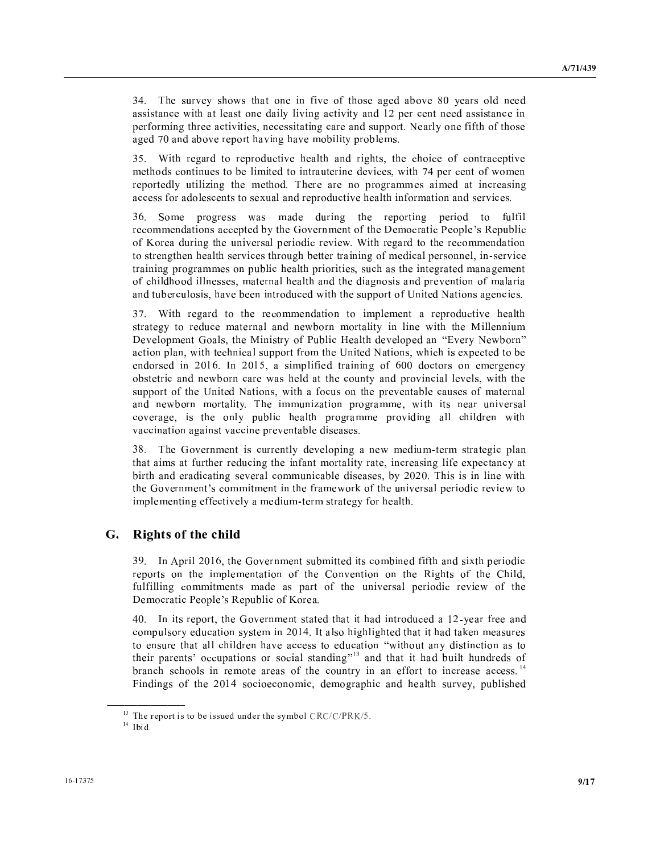<sup>R</sup> <sup>T</sup> \ <sup>U</sup> ] <sup>V</sup> \ <sup>V</sup> - \ / <sup>U</sup> - - ] - <sup>U</sup> \ \ <sup>U</sup> - - <sup>S</sup> -  $\overline{\phantom{a}}$  ,  $\overline{\phantom{a}}$  ,  $\overline{\phantom{a}}$  ,  $\overline{\phantom{a}}$  ,  $\overline{\phantom{a}}$  ,  $\overline{\phantom{a}}$  ,  $\overline{\phantom{a}}$  ,  $\overline{\phantom{a}}$  ,  $\overline{\phantom{a}}$  ,  $\overline{\phantom{a}}$  ,  $\overline{\phantom{a}}$  ,  $\overline{\phantom{a}}$  ,  $\overline{\phantom{a}}$  ,  $\overline{\phantom{a}}$  ,  $\overline{\phantom{a}}$  ,  $\overline{\phantom{a}}$ - - \ <sup>S</sup> \ \ . <sup>U</sup> <sup>S</sup> .

 <sup>a</sup> - <sup>S</sup> - <sup>T</sup> \ - <sup>b</sup> <sup>V</sup> <sup>S</sup> \ . - <sup>T</sup> . - <sup>T</sup> - \ <sup>b</sup> ] S <sup>V</sup> ] .  $\mathcal{S} = \{ \mathcal{S} \mid \mathcal{S} \text{ and } \mathcal{S} \text{ and } \mathcal{S} \text{ and } \mathcal{S} \text{ and } \mathcal{S} \text{ and } \mathcal{S} \text{ are } \mathcal{S} \text{ and } \mathcal{S} \text{ are } \mathcal{S} \text{ and } \mathcal{S} \text{ are } \mathcal{S} \text{ and } \mathcal{S} \text{ are } \mathcal{S} \text{ and } \mathcal{S} \text{ are } \mathcal{S} \text{ and } \mathcal{S} \text{ are } \mathcal{S} \text{ and } \mathcal{S} \text{ are } \mathcal{S$  $\alpha$  , and the set of the set of the set of the set of the set of the set of the set of the set of the set of the set of the set of the set of the set of the set of the set of the set of the set of the set of the set of t

 ^ . <sup>S</sup> ] . - - <sup>T</sup> <sup>S</sup> <sup>S</sup> - <sup>V</sup> <sup>T</sup> <sup>V</sup> . . - <sup>S</sup> - <sup>U</sup> \ . <sup>V</sup> . <sup>W</sup> <sup>S</sup> <sup>X</sup> <sup>Y</sup> <sup>S</sup> <sup>T</sup>  $\alpha$  and  $\alpha$  . The contract of the contract of the contract of the contract of the contract of the contract of the contract of the contract of the contract of the contract of the contract of the contract of the contract \ <sup>T</sup> <sup>V</sup> . - <sup>S</sup> <sup>b</sup> \ <sup>S</sup> . . <sup>S</sup> <sup>T</sup> <sup>S</sup> <sup>b</sup> <sup>T</sup> - . .  $\alpha$  . It is the set of the set of the set of the set of the set of the set of the set of the set of the set of the set of the set of the set of the set of the set of the set of the set of the set of the set of the set of  $\mathbf{A} = \mathbf{A} + \mathbf{B} + \mathbf{C} + \mathbf{A} + \mathbf{A} + \mathbf{A} + \mathbf{A} + \mathbf{A} + \mathbf{A} + \mathbf{A} + \mathbf{A} + \mathbf{A} + \mathbf{A} + \mathbf{A} + \mathbf{A} + \mathbf{A} + \mathbf{A} + \mathbf{A} + \mathbf{A} + \mathbf{A} + \mathbf{A} + \mathbf{A} + \mathbf{A} + \mathbf{A} + \mathbf{A} + \mathbf{A} + \mathbf{A} + \mathbf{A} + \mathbf{A} + \mathbf{A} + \mathbf$ 

 <sup>a</sup> - . . - . <sup>S</sup> . <sup>S</sup> - <sup>T</sup> \ U SO SOLUTION AND THE RELEASED OF THE RELEASED OF THE RELEASED OF THE RELEASED OF THE RELEASED OF THE RELEASED \ <sup>S</sup> . <sup>b</sup> ¿ <sup>U</sup> <sup>V</sup> <sup>W</sup> T - \ <sup>S</sup> - <sup>½</sup> \ <sup>U</sup> ` ] <sup>¾</sup> <sup>S</sup> <sup>b</sup> ] <sup>T</sup> <sup>S</sup> <sup>S</sup> <sup>V</sup> . \_ - ` <sup>b</sup> ] <sup>S</sup> -  $\mathbf{A} = \mathbf{A} + \mathbf{A} + \mathbf{A} + \mathbf{A} + \mathbf{A} + \mathbf{A} + \mathbf{A} + \mathbf{A} + \mathbf{A} + \mathbf{A} + \mathbf{A} + \mathbf{A} + \mathbf{A} + \mathbf{A} + \mathbf{A} + \mathbf{A} + \mathbf{A} + \mathbf{A} + \mathbf{A} + \mathbf{A} + \mathbf{A} + \mathbf{A} + \mathbf{A} + \mathbf{A} + \mathbf{A} + \mathbf{A} + \mathbf{A} + \mathbf{A} + \mathbf{A} + \mathbf{A} + \mathbf$  $\mathbf{1}$  ,  $\mathbf{1}$  ,  $\mathbf{1}$  ,  $\mathbf{1}$  ,  $\mathbf{1}$  ,  $\mathbf{1}$  ,  $\mathbf{1}$  ,  $\mathbf{1}$  ,  $\mathbf{1}$  ,  $\mathbf{1}$  ,  $\mathbf{1}$  ,  $\mathbf{1}$  ,  $\mathbf{1}$  ,  $\mathbf{1}$  ,  $\mathbf{1}$  ,  $\mathbf{1}$  ,  $\mathbf{1}$  ,  $\mathbf{1}$  ,  $\mathbf{1}$  ,  $\mathbf{1}$  , <sup>T</sup> <sup>S</sup> <sup>S</sup> <sup>V</sup> \_ - ` <sup>b</sup> ] <sup>V</sup> T <sup>S</sup> \ <sup>T</sup> <sup>V</sup> . - ] . <sup>U</sup> <sup>R</sup> . . <sup>T</sup> <sup>¹</sup> <sup>S</sup> . . <sup>b</sup> ] <sup>T</sup> \ \ <sup>b</sup> <sup>U</sup> <sup>S</sup> <sup>T</sup> <sup>S</sup> . . <sup>S</sup> \ - - ]  $\qquad \qquad \bullet$  . The contract of the contract of the contract of the contract of the contract of the contract of the contract of the contract of the contract of the contract of the contract of the contract of the contract of

 / <sup>R</sup> \ . T <sup>U</sup> - \ <sup>S</sup> ] . - <sup>T</sup> . . S  $\mathcal{L} = \mathcal{L} \mathcal{L} = \mathcal{L} \mathcal{L} \mathcal{L} \mathcal{L} \mathcal{L} \mathcal{L} \mathcal{L} \mathcal{L} \mathcal{L} \mathcal{L} \mathcal{L} \mathcal{L} \mathcal{L} \mathcal{L} \mathcal{L} \mathcal{L} \mathcal{L} \mathcal{L} \mathcal{L} \mathcal{L} \mathcal{L} \mathcal{L} \mathcal{L} \mathcal{L} \mathcal{L} \mathcal{L} \mathcal{L} \mathcal{L} \mathcal{L} \mathcal{L} \mathcal{L} \mathcal{L} \mathcal{L} \math$  - - \ . . <sup>T</sup> - <sup>b</sup> <sup>U</sup> <sup>R</sup> ] \ . <sup>X</sup> . . . <sup>V</sup> . ] <sup>V</sup> <sup>T</sup> \ <sup>S</sup> - \ ] . <sup>S</sup> . <sup>V</sup> <sup>V</sup> \ <sup>U</sup> . - <sup>T</sup> . . <sup>U</sup> <sup>V</sup> 

#### $\sim$ ; <sup>B</sup> @ <sup>&</sup>gt; <sup>A</sup> @ <sup>B</sup> <sup>&</sup>lt; <sup>D</sup> <sup>B</sup> <sup>J</sup>

 [ , S - b \ . <sup>T</sup> . - . - <sup>V</sup> <sup>V</sup> - <sup>S</sup> -  $\mathbf{S} = \mathbf{S} \mathbf{S} + \mathbf{S} \mathbf{S} + \mathbf{S} \mathbf{S} + \mathbf{S} \mathbf{S} + \mathbf{S} \mathbf{S} + \mathbf{S} \mathbf{S} + \mathbf{S} \mathbf{S} \mathbf{S} + \mathbf{S} \mathbf{S} \mathbf{S} + \mathbf{S} \mathbf{S} \mathbf{S} + \mathbf{S} \mathbf{S} \mathbf{S} + \mathbf{S} \mathbf{S} \mathbf{S} \mathbf{S} + \mathbf{S} \mathbf{S} \mathbf{S} \mathbf{S} + \mathbf{S} \mathbf$ V <sup>T</sup> <sup>V</sup> . . . . - <sup>S</sup> <sup>V</sup> <sup>T</sup> \ <sup>S</sup> - \ ] <sup>V</sup> . <sup>W</sup> <sup>S</sup> <sup>X</sup> <sup>Y</sup> <sup>S</sup> <sup>T</sup> <sup>V</sup> <sup>Z</sup>

 $\mathbf{a} \cdot \mathbf{b} = \mathbf{b} \cdot \mathbf{c} + \mathbf{b} \cdot \mathbf{c} + \mathbf{c} \cdot \mathbf{c} + \mathbf{c} \cdot \mathbf{c} + \mathbf{c} \cdot \mathbf{c} + \mathbf{c} \cdot \mathbf{c} + \mathbf{c} \cdot \mathbf{c} + \mathbf{c} \cdot \mathbf{c} + \mathbf{c} \cdot \mathbf{c} + \mathbf{c} \cdot \mathbf{c} + \mathbf{c} \cdot \mathbf{c} + \mathbf{c} \cdot \mathbf{c} + \mathbf{c} \cdot \mathbf{c} + \mathbf{c} \cdot \math$  . <sup>S</sup> <sup>T</sup> <sup>U</sup> - <sup>T</sup> <sup>U</sup> . - [ - - . <sup>T</sup> The set of the set of the set of the set of the set of the set of the set of the set of the set of the set of the set of the set of the set of the set of the set of the set of the set of the set of the set of the set of t <sup>S</sup> <sup>X</sup> T <sup>S</sup> - <sup>¾</sup> - - <sup>T</sup> <sup>T</sup> - - <sup>V</sup> . <sup>V</sup> <sup>T</sup> <sup>U</sup> <sup>V</sup> <sup>V</sup> - <sup>V</sup> - . b - . <sup>S</sup> - <sup>T</sup> \ <sup>U</sup> <sup>b</sup> <sup>S</sup> <sup>T</sup> -

 $\beta$  m  $\beta$  is the f i d i f  $\alpha$  algebratic

 $14 - 3$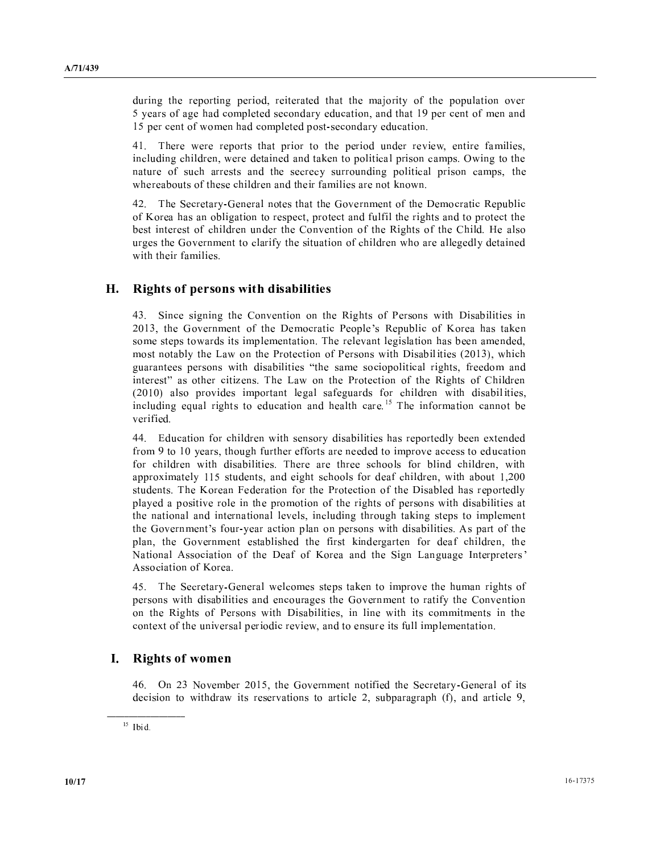- <sup>T</sup> <sup>S</sup> <sup>S</sup> - <sup>b</sup> - . <sup>U</sup> <sup>V</sup> <sup>S</sup> <sup>S</sup> <sup>T</sup> \  $\blacksquare$  . So a set of the set of the set of the set of the set of the set of the set of the set of the set of the set of the set of the set of the set of the set of the set of the set of the set of the set of the set of th  $\mathcal{S} = \{ \mathcal{S} \mid \mathcal{S} \text{ is a } \mathcal{S} \}$ 

 $\mathcal{L} = \mathcal{L} = \mathcal{L} = \mathcal{L} = \mathcal{L} = \mathcal{L} = \mathcal{L} = \mathcal{L} = \mathcal{L} = \mathcal{L} = \mathcal{L} = \mathcal{L} = \mathcal{L} = \mathcal{L} = \mathcal{L} = \mathcal{L} = \mathcal{L} = \mathcal{L} = \mathcal{L} = \mathcal{L} = \mathcal{L} = \mathcal{L} = \mathcal{L} = \mathcal{L} = \mathcal{L} = \mathcal{L} = \mathcal{L} = \mathcal{L} = \mathcal{L} = \mathcal{L} = \mathcal{L} = \mathcal$  <sup>T</sup> - - <sup>b</sup> ] - - - <sup>S</sup> <sup>S</sup> . <sup>S</sup> ] <sup>T</sup> <sup>V</sup> <sup>T</sup> - U <sup>T</sup> <sup>T</sup> - <sup>S</sup> <sup>S</sup> . <sup>S</sup> <sup>b</sup> ] <sup>T</sup> <sup>V</sup> - - <sup>V</sup> . ]

 $\mathcal{L} = \mathcal{L} \mathcal{L} = \mathcal{L} \mathcal{L} \mathcal{L} \mathcal{L} \mathcal{L} \mathcal{L} \mathcal{L} \mathcal{L} \mathcal{L} \mathcal{L} \mathcal{L} \mathcal{L} \mathcal{L} \mathcal{L} \mathcal{L} \mathcal{L} \mathcal{L} \mathcal{L} \mathcal{L} \mathcal{L} \mathcal{L} \mathcal{L} \mathcal{L} \mathcal{L} \mathcal{L} \mathcal{L} \mathcal{L} \mathcal{L} \mathcal{L} \mathcal{L} \mathcal{L} \mathcal{L} \mathcal{L} \math$  $\alpha \rightarrow +$  . The set of the set of the set of the set of the set of the set of the set of the set of the set of the set of the set of the set of the set of the set of the set of the set of the set of the set of the set of th <sup>V</sup> - <sup>T</sup> - \ <sup>V</sup> <sup>Y</sup> <sup>V</sup> -  $\mathbf{y} = \mathbf{y} + \mathbf{y} + \mathbf{y} + \mathbf{y} + \mathbf{y} + \mathbf{y} + \mathbf{y} + \mathbf{y} + \mathbf{y} + \mathbf{y} + \mathbf{y} + \mathbf{y} + \mathbf{y} + \mathbf{y} + \mathbf{y} + \mathbf{y} + \mathbf{y} + \mathbf{y} + \mathbf{y} + \mathbf{y} + \mathbf{y} + \mathbf{y} + \mathbf{y} + \mathbf{y} + \mathbf{y} + \mathbf{y} + \mathbf{y} + \mathbf{y} + \mathbf{y} + \mathbf{y} + \mathbf$ ] <sup>V</sup> .

#### $\sim$ ; <sup>B</sup> @ <sup>&</sup>gt; <sup>A</sup> <sup>=</sup> <sup>&</sup>lt; ? <sup>&</sup>gt; <sup>I</sup> <sup>ñ</sup> @ <sup>B</sup> <sup>E</sup> <sup>J</sup> @ <sup>&</sup>lt;

 $\mathcal{L} = \mathcal{L} = \mathcal{L} = \mathcal{L} = \mathcal{L} = \mathcal{L} = \mathcal{L} = \mathcal{L} = \mathcal{L} = \mathcal{L} = \mathcal{L} = \mathcal{L} = \mathcal{L} = \mathcal{L} = \mathcal{L} = \mathcal{L} = \mathcal{L} = \mathcal{L} = \mathcal{L} = \mathcal{L} = \mathcal{L} = \mathcal{L} = \mathcal{L} = \mathcal{L} = \mathcal{L} = \mathcal{L} = \mathcal{L} = \mathcal{L} = \mathcal{L} = \mathcal{L} = \mathcal{L} = \mathcal$  - b \ . <sup>V</sup> . <sup>W</sup> <sup>S</sup> <sup>X</sup> <sup>Y</sup> <sup>S</sup> <sup>T</sup> <sup>V</sup> <sup>Z</sup> . <sup>S</sup> ] - . <sup>S</sup> . <sup>R</sup> \ . - - <sup>b</sup> . The set of the set of the set of the set of the set of the set of the set of the set of the set of the set of the set of the set of the set of the set of the set of the set of the set of the set of the set of the set of The set of the set of the set of the set of the set of the set of the set of the set of the set of the set of the set of the set of the set of the set of the set of the set of the set of the set of the set of the set of t  $\mathbf{v} = \mathbf{v} = \mathbf{v} = \mathbf{v} = \mathbf{v} = \mathbf{v} = \mathbf{v} = \mathbf{v} = \mathbf{v} = \mathbf{v} = \mathbf{v} = \mathbf{v} = \mathbf{v} = \mathbf{v} = \mathbf{v} = \mathbf{v} = \mathbf{v} = \mathbf{v} = \mathbf{v} = \mathbf{v} = \mathbf{v} = \mathbf{v} = \mathbf{v} = \mathbf{v} = \mathbf{v} = \mathbf{v} = \mathbf{v} = \mathbf{v} = \mathbf{v} = \mathbf{v} = \mathbf{v} = \mathbf$  $\mathcal{L} = \{ \mathbf{S} \mid \mathbf{S} \}$  . So a set of the set of the set of the set of the set of the set of the set of the set of the set of the set of the set of the set of the set of the set of the set of the set of the set of the  $\mathbf{r} = \mathbf{r} + \mathbf{r} + \mathbf{r} + \mathbf{r} + \mathbf{r} + \mathbf{r} + \mathbf{r} + \mathbf{r} + \mathbf{r} + \mathbf{r} + \mathbf{r} + \mathbf{r} + \mathbf{r} + \mathbf{r} + \mathbf{r} + \mathbf{r} + \mathbf{r} + \mathbf{r} + \mathbf{r} + \mathbf{r} + \mathbf{r} + \mathbf{r} + \mathbf{r} + \mathbf{r} + \mathbf{r} + \mathbf{r} + \mathbf{r} + \mathbf{r} + \mathbf{r} + \mathbf{r} + \mathbf$  $\cdots$ 

 $\mathcal{L} \mathcal{L} = \mathcal{L} \mathcal{L} = \mathcal{L} \mathcal{L} \mathcal{L} + \mathcal{L} \mathcal{L} \mathcal{L} + \mathcal{L} \mathcal{L} \mathcal{L} \mathcal{L} + \mathcal{L} \mathcal{L} \mathcal{L} \mathcal{L} \mathcal{L} \mathcal{L} \mathcal{L} \mathcal{L} \mathcal{L} \mathcal{L} \mathcal{L} \mathcal{L} \mathcal{L} \mathcal{L} \mathcal{L} \mathcal{L} \mathcal{L} \mathcal{L} \mathcal{L} \mathcal{L} \mathcal{L} \mathcal{L$  $\overline{\phantom{a}}$  ,  $\overline{\phantom{a}}$  ,  $\overline{\phantom{a}}$  ,  $\overline{\phantom{a}}$  ,  $\overline{\phantom{a}}$  ,  $\overline{\phantom{a}}$  ,  $\overline{\phantom{a}}$  ,  $\overline{\phantom{a}}$  ,  $\overline{\phantom{a}}$  ,  $\overline{\phantom{a}}$  ,  $\overline{\phantom{a}}$  ,  $\overline{\phantom{a}}$  ,  $\overline{\phantom{a}}$  ,  $\overline{\phantom{a}}$  ,  $\overline{\phantom{a}}$  ,  $\overline{\phantom{a}}$  $\overline{\phantom{a}}$  ,  $\overline{\phantom{a}}$  ,  $\overline{\phantom{a}}$  ,  $\overline{\phantom{a}}$  ,  $\overline{\phantom{a}}$  ,  $\overline{\phantom{a}}$  ,  $\overline{\phantom{a}}$  ,  $\overline{\phantom{a}}$  ,  $\overline{\phantom{a}}$  ,  $\overline{\phantom{a}}$  ,  $\overline{\phantom{a}}$  ,  $\overline{\phantom{a}}$  ,  $\overline{\phantom{a}}$  ,  $\overline{\phantom{a}}$  ,  $\overline{\phantom{a}}$  ,  $\overline{\phantom{a}}$  <sup>S</sup> <sup>S</sup> . <sup>U</sup> - - <sup>T</sup> - <sup>b</sup> - <sup>V</sup> - <sup>V</sup> - <sup>b</sup> ] <sup>T</sup> - b  $\mathbf{A}$  . The set of  $\mathbf{A}$  and  $\mathbf{A}$  is a set of  $\mathbf{A}$  is a set of  $\mathbf{A}$  is a set of  $\mathbf{A}$  is a set of  $\mathbf{A}$  is a set of  $\mathbf{A}$  is a set of  $\mathbf{A}$  is a set of  $\mathbf{A}$  is a set of  $\mathbf{A}$  is a set  $\mathcal{S}$  ,  $\mathcal{S}$  ,  $\mathcal{S}$  ,  $\mathcal{S}$  ,  $\mathcal{S}$  ,  $\mathcal{S}$  ,  $\mathcal{S}$  ,  $\mathcal{S}$  ,  $\mathcal{S}$  ,  $\mathcal{S}$  ,  $\mathcal{S}$  ,  $\mathcal{S}$  ,  $\mathcal{S}$  ,  $\mathcal{S}$  ,  $\mathcal{S}$  ,  $\mathcal{S}$  ,  $\mathcal{S}$  ,  $\mathcal{S}$  ,  $\mathcal{S}$  ,  $\mathcal{S}$  , - \ <sup>b</sup> <sup>T</sup> - <sup>T</sup> <sup>S</sup> . <sup>S</sup> .  $\alpha$  ,  $\alpha$  ,  $\alpha$  ,  $\beta$  ,  $\beta$  ,  $\beta$  ,  $\beta$  ,  $\beta$  ,  $\beta$  ,  $\beta$  ,  $\beta$  ,  $\beta$  ,  $\beta$  ,  $\beta$  ,  $\beta$  ,  $\beta$  ,  $\beta$  ,  $\beta$  ,  $\beta$  ,  $\beta$  ,  $\beta$  ,  $\beta$  ,  $\beta$  ,  $\beta$  ,  $\beta$  ,  $\beta$  ,  $\beta$  ,  $\beta$  ,  $\beta$  ,  $\beta$  ,  $\beta$  ,  $\beta$ S <sup>b</sup> \ . - <sup>V</sup> - <sup>V</sup> - <sup>V</sup> - <sup>b</sup> ` , <sup>V</sup> <sup>V</sup> <sup>V</sup> <sup>Z</sup> - ^ <sup>º</sup> <sup>T</sup> [ <sup>S</sup> <sup>X</sup> , <sup>V</sup> <sup>Z</sup>

 $\mathcal{L} = \mathcal{L} = \mathcal{L} = \mathcal{L} = \mathcal{L} = \mathcal{L} = \mathcal{L} = \mathcal{L} = \mathcal{L} = \mathcal{L} = \mathcal{L} = \mathcal{L} = \mathcal{L} = \mathcal{L} = \mathcal{L} = \mathcal{L} = \mathcal{L} = \mathcal{L} = \mathcal{L} = \mathcal{L} = \mathcal{L} = \mathcal{L} = \mathcal{L} = \mathcal{L} = \mathcal{L} = \mathcal{L} = \mathcal{L} = \mathcal{L} = \mathcal{L} = \mathcal{L} = \mathcal{L} = \mathcal$ S ] - - <sup>T</sup> \ . <sup>V</sup> <sup>U</sup> \  $\mathcal{N} = \{ \mathcal{N} \mid \mathcal{N} = \{ \mathcal{N} \mid \mathcal{N} \mid \mathcal{N} \mid \mathcal{N} \mid \mathcal{N} \mid \mathcal{N} \mid \mathcal{N} \mid \mathcal{N} \mid \mathcal{N} \mid \mathcal{N} \mid \mathcal{N} \mid \mathcal{N} \mid \mathcal{N} \mid \mathcal{N} \mid \mathcal{N} \mid \mathcal{N} \mid \mathcal{N} \mid \mathcal{N} \mid \mathcal{N} \mid \mathcal{N} \mid \mathcal{N} \mid \mathcal{N} \mid \mathcal{N} \mid \mathcal{N} \mid \math$  <sup>V</sup> <sup>T</sup> \ <sup>S</sup> - \ ] <sup>b</sup> - <sup>T</sup> <sup>V</sup> <sup>T</sup> . <sup>S</sup> . 

### Þ ; <sup>B</sup> @ <sup>&</sup>gt; <sup>A</sup> <sup>ñ</sup> <sup>&</sup>gt; <sup>Á</sup> <sup>&</sup>lt; <sup>I</sup>

 $\mathbf{b} \cdot \mathbf{c} = \mathbf{b} \cdot \mathbf{c} + \mathbf{c} \cdot \mathbf{c} + \mathbf{c} + \mathbf{c} + \mathbf{c} + \mathbf{c} + \mathbf{c} + \mathbf{c} + \mathbf{c} + \mathbf{c} + \mathbf{c} + \mathbf{c} + \mathbf{c} + \mathbf{c} + \mathbf{c} + \mathbf{c} + \mathbf{c} + \mathbf{c} + \mathbf{c} + \mathbf{c} + \mathbf{c} + \mathbf{c} + \mathbf{c} + \mathbf{c} + \mathbf{c} + \mathbf{c} + \mathbf{c} +$ - ] - ] \ <sup>b</sup> <sup>T</sup> <sup>S</sup> <sup>S</sup> V <sup>b</sup> - b

<sup>، ، ،</sup> ا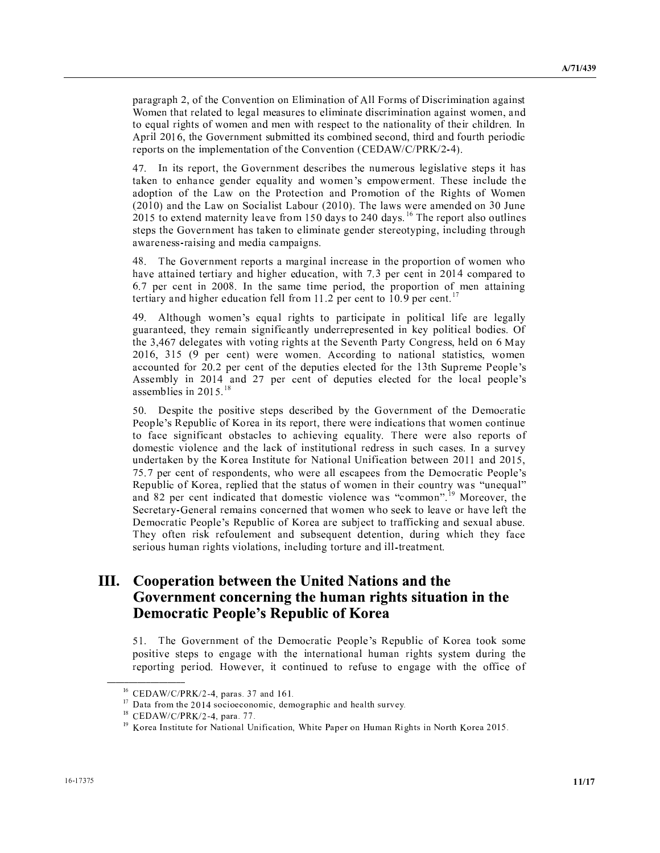S <sup>S</sup> <sup>b</sup> <sup>V</sup> \ . <sup>V</sup> , . <sup>V</sup> . a . - . <sup>T</sup> . - . ] . <sup>b</sup> - <sup>T</sup> <sup>V</sup> ] . - . ] <sup>S</sup> <sup>U</sup> <sup>V</sup> - [ , S - b \ . <sup>T</sup> . - . - - <sup>b</sup> - - <sup>V</sup> <sup>T</sup> <sup>S</sup> -  $\mathbf{A} \mathbf{B} \mathbf{C} \mathbf{A} \mathbf{A} \mathbf{C} \mathbf{A} \mathbf{A} \mathbf{A} \mathbf{A} \mathbf{A} \mathbf{A} \mathbf{A} \mathbf{A} \mathbf{A} \mathbf{A} \mathbf{A} \mathbf{A} \mathbf{A} \mathbf{A} \mathbf{A} \mathbf{A} \mathbf{A} \mathbf{A} \mathbf{A} \mathbf{A} \mathbf{A} \mathbf{A} \mathbf{A} \mathbf{A} \mathbf{A} \mathbf{A} \mathbf{A} \mathbf{A} \mathbf{A} \mathbf{A} \mathbf{$ 

 $\mathbf{a} = \mathbf{b} + \mathbf{b}$  , and a set of the set of the set of the set of the set of the set of the set of the set of the set of the set of the set of the set of the set of the set of the set of the set of the set of the set - The set of the set of the set of the set of the set of the set of the set of the set of the set of the set of the set of the set of the set of the set of the set of the set of the set of the set of the set of the set of - <sup>S</sup> <sup>V</sup> <sup>º</sup> ] <sup>W</sup> - <sup>W</sup> . <sup>V</sup> <sup>Y</sup> <sup>V</sup> <sup>a</sup> .  $\mathcal{L} = \{ \mathbf{z}_1, \mathbf{z}_2, \ldots, \mathbf{z}_{N-1}, \mathbf{z}_N, \mathbf{z}_N, \mathbf{z}_N, \mathbf{z}_N, \mathbf{z}_N, \mathbf{z}_N, \mathbf{z}_N, \mathbf{z}_N, \mathbf{z}_N, \mathbf{z}_N, \mathbf{z}_N, \mathbf{z}_N, \mathbf{z}_N, \mathbf{z}_N, \mathbf{z}_N, \mathbf{z}_N, \mathbf{z}_N, \mathbf{z}_N, \mathbf{z}_N, \mathbf{z}_N, \mathbf{z}_N, \mathbf{z}_N, \mathbf{z$  - - . <sup>U</sup> \ <sup>V</sup> . - - <sup>U</sup> - <sup>U</sup> <sup>Í</sup> <sup>R</sup> <sup>S</sup> <sup>T</sup>  $\mathcal{S} \subset \mathcal{S}$  , and the set of the set of the set of the set of the set of the set of the set of the set of the set of the set of the set of the set of the set of the set of the set of the set of the set of the set of  $\blacksquare$  . So that is a set of the set of the set of the set of the set of the set of the set of the set of the set of the set of the set of the set of the set of the set of the set of the set of the set of the set of the s

 $\mathcal{L} = \mathcal{L} \mathcal{L} = \mathcal{L} \mathcal{L} \mathcal{L} = \mathcal{L} \mathcal{L} \mathcal{L} \mathcal{L} \mathcal{L} \mathcal{L} \mathcal{L} \mathcal{L} \mathcal{L} \mathcal{L} \mathcal{L} \mathcal{L} \mathcal{L} \mathcal{L} \mathcal{L} \mathcal{L} \mathcal{L} \mathcal{L} \mathcal{L} \mathcal{L} \mathcal{L} \mathcal{L} \mathcal{L} \mathcal{L} \mathcal{L} \mathcal{L} \mathcal{L} \mathcal{L} \mathcal{L} \mathcal{L} \$  $\bf 1 \quad \cdots \quad \bf 1 \quad \bf 1 \quad \cdots \quad \bf 1 \quad \bf 1 \quad \bf 1 \quad \cdots \quad \bf 1 \quad \cdots \quad \bf 1 \quad \cdots \quad \bf 1 \quad \cdots \quad \bf 1 \quad \cdots \quad \bf 1 \quad \cdots \quad \bf 1 \quad \cdots \quad \bf 1 \quad \cdots \quad \bf 1 \quad \cdots \quad \bf 1 \quad \cdots \quad \bf 1 \quad \cdots \quad \bf 1 \quad \cdots \quad \bf 1 \quad \cdots \quad \bf 1 \quad \cdots \quad \bf 1 \quad \cdots \quad \bf 1 \quad \cdots \quad \bf 1$  $\mathcal{S} = \{ \begin{array}{ccc} \mathcal{S} & \mathcal{S} & \mathcal{S} \end{array} \}$  <sup>U</sup> - - <sup>T</sup> <sup>V</sup> <sup>V</sup> . - - <sup>S</sup> - S <sup>Ð</sup>

, and it is a set of the set of the set of the set of the set of the set of the set of the set of the set of the set of the set of the set of the set of the set of the set of the set of the set of the set of the set of th <sup>T</sup> - <sup>b</sup> <sup>U</sup> . <sup>V</sup> <sup>U</sup> <sup>T</sup> - <sup>S</sup> - <sup>U</sup> <sup>S</sup> - V  $\mathbf{r} = \mathbf{r} + \mathbf{r}$  . The contract of the contract of the contract of the contract of the contract of the contract of the contract of the contract of the contract of the contract of the contract of the contract of the - b - S ] ] . , - <sup>b</sup> ] . <sup>T</sup> - <sup>V</sup> <sup>S</sup> <sup>V</sup> - <sup>S</sup> <sup>T</sup> - <sup>V</sup> - ^ <sup>T</sup> <sup>S</sup> . <sup>W</sup> <sup>S</sup> <sup>X</sup> , and the set of the set of the set of the set of the set of the set of the set of the set of the set of the set of the set of the set of the set of the set of the set of the set of the set of the set of the set of the se . - <sup>ß</sup>

 $\mathbb{R} \times \mathbb{R}$  , and it is the set of the set of the set of the set of the set of the set of the set of the set of the set of the set of the set of the set of the set of the set of the set of the set of the set of the s W <sup>S</sup> <sup>X</sup> <sup>Y</sup> <sup>S</sup> <sup>T</sup> <sup>V</sup> <sup>Z</sup> <sup>S</sup> <sup>b</sup> ] - ] . <sup>T</sup>  $\alpha$  , and the second of the second of the second of the second of the second of the second of the second of the second of the second of the second of the second of the second of the second of the second of the second of - . \ - <sup>V</sup> <sup>T</sup> - <sup>T</sup> [ <sup>T</sup> \ <sup>U</sup> T - <sup>U</sup> <sup>Z</sup> [ <sup>T</sup> <sup>V</sup> ` \_ <sup>V</sup> ] - - - - b S <sup>V</sup> <sup>S</sup> - <sup>b</sup> ] ] <sup>S</sup> <sup>V</sup> . . <sup>W</sup> <sup>S</sup> <sup>X</sup>  $\mathcal{P} = \{ \mathcal{P} \mid \mathcal{P} \mathcal{P} \mathcal{P} \mathcal{P} \mathcal{P} \mathcal{P} \mathcal{P} \mathcal{P} \mathcal{P} \mathcal{P} \mathcal{P} \mathcal{P} \mathcal{P} \mathcal{P} \mathcal{P} \mathcal{P} \mathcal{P} \mathcal{P} \mathcal{P} \mathcal{P} \mathcal{P} \mathcal{P} \mathcal{P} \mathcal{P} \mathcal{P} \mathcal{P} \mathcal{P} \mathcal{P} \mathcal{P} \mathcal{P} \mathcal{P} \mathcal{P} \mathcal{P} \mathcal{P$  $\mathcal{A} = \mathcal{A} \mathcal{A} \mathcal{A} \mathcal{A} \mathcal{A} \mathcal{A} \mathcal{A} \mathcal{A} \mathcal{A} \mathcal{A} \mathcal{A} \mathcal{A} \mathcal{A} \mathcal{A} \mathcal{A} \mathcal{A} \mathcal{A} \mathcal{A} \mathcal{A} \mathcal{A} \mathcal{A} \mathcal{A} \mathcal{A} \mathcal{A} \mathcal{A} \mathcal{A} \mathcal{A} \mathcal{A} \mathcal{A} \mathcal{A} \mathcal{A} \mathcal{A} \mathcal{A} \mathcal{A} \mathcal{A} \mathcal$ ^ <sup>U</sup> . - ] . ] \ \ <sup>V</sup> . <sup>W</sup> <sup>S</sup> <sup>X</sup> <sup>Y</sup> <sup>S</sup> <sup>T</sup> <sup>V</sup> <sup>Z</sup> <sup>T</sup> <sup>V</sup> <sup>V</sup> - <sup>T</sup> <sup>T</sup> R <sup>U</sup> <sup>V</sup> <sup>V</sup> <sup>T</sup> . - <sup>T</sup> <sup>T</sup> - <sup>b</sup> - <sup>T</sup> ] <sup>U</sup> <sup>V</sup> <sup>T</sup> <sup>T</sup> . \ <sup>b</sup> <sup>T</sup> - <sup>T</sup> - . 

### III. **Cooperation between the United Nations and the** Government concerning the human rights situation in the **Democratic People's Republic of Korea**

 - <sup>R</sup> \ . <sup>V</sup> . <sup>W</sup> <sup>S</sup> <sup>X</sup> <sup>Y</sup> <sup>S</sup> <sup>T</sup> <sup>V</sup> <sup>Z</sup> . S \ <sup>S</sup> ] <sup>T</sup> . <sup>U</sup> . - <sup>T</sup>  $\mathbf{S} = \begin{bmatrix} \mathbf{S} & \mathbf{S} & \mathbf{S} & \mathbf{S} & \mathbf{S} & \mathbf{S} & \mathbf{S} & \mathbf{S} & \mathbf{S} & \mathbf{S} & \mathbf{S} & \mathbf{S} & \mathbf{S} & \mathbf{S} & \mathbf{S} & \mathbf{S} & \mathbf{S} & \mathbf{S} & \mathbf{S} & \mathbf{S} & \mathbf{S} & \mathbf{S} & \mathbf{S} & \mathbf{S} & \mathbf{S} & \mathbf{S} & \mathbf{S} & \mathbf{S} & \mathbf{S} & \mathbf{$ 

Ñ ¯ <sup>Ô</sup> ° © ¤ <sup>Å</sup> ¯ <sup>Å</sup> ¥ § Å <sup>ª</sup> ¸ <sup>³</sup> £ <sup>h</sup> <sup>l</sup> <sup>g</sup> <sup>l</sup> <sup>m</sup> <sup>y</sup> <sup>Ç</sup> <sup>Æ</sup> <sup>l</sup> <sup>u</sup> <sup>r</sup> <sup>¬</sup> <sup>¬</sup> <sup>y</sup>

 $\frac{17}{17}$  Data from the 2014 socioeconomic, demographic and health survey

 $^{18}$  CEDAW/C/PRK/2-4, para. 77

 $\theta$  and  $\theta$  is a constant  $\theta$  in the following the final property  $\theta$  is a set of the  $\theta$  in  $\theta$  in  $\theta$  is a set of the  $\theta$  of  $\theta$  in  $\theta$  is a set of the  $\theta$  of  $\theta$  is a set of the  $\theta$  of  $\theta$  is a set of the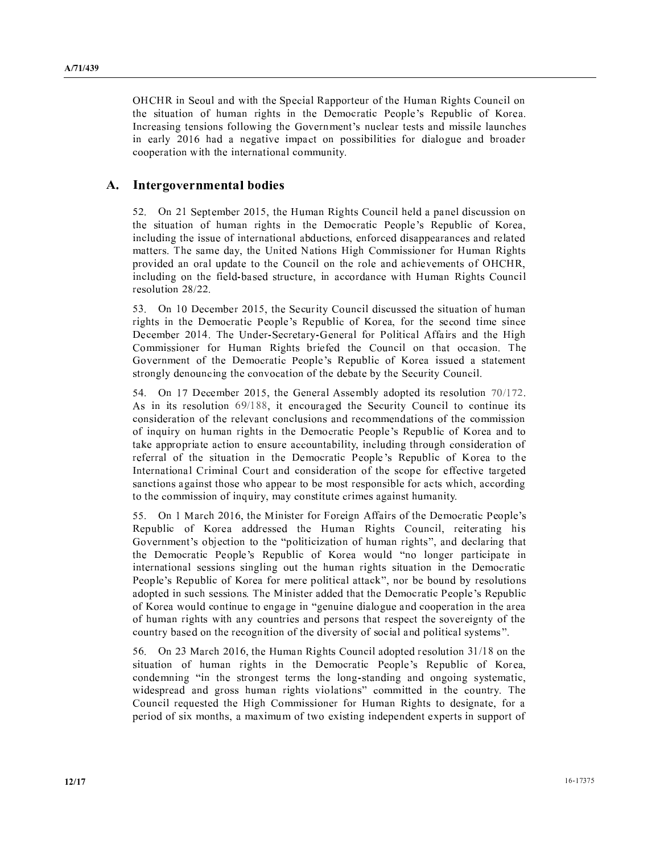$\alpha$  , and  $\alpha$  is a set of  $\alpha$  is a set of  $\alpha$  is a set of  $\alpha$  is a set of  $\alpha$  is a set of  $\alpha$  is a set of  $\alpha$  is a set of  $\alpha$  is a set of  $\alpha$  is a set of  $\alpha$  is a set of  $\alpha$  is a set of  $\alpha$  is a set of  $\alpha$  i  $\mathcal{X} = \mathcal{X} \cup \mathcal{X} \cup \mathcal{X} \cup \mathcal{X} \cup \mathcal{X} \cup \mathcal{X} \cup \mathcal{X} \cup \mathcal{X} \cup \mathcal{X} \cup \mathcal{X} \cup \mathcal{X} \cup \mathcal{X} \cup \mathcal{X} \cup \mathcal{X} \cup \mathcal{X} \cup \mathcal{X} \cup \mathcal{X} \cup \mathcal{X} \cup \mathcal{X} \cup \mathcal{X} \cup \mathcal{X} \cup \mathcal{X} \cup \mathcal{X} \cup \mathcal{X} \cup \mathcal{X} \cup \mathcal{X} \cup \mathcal{X$ [ <sup>V</sup> ] \ . <sup>X</sup> <sup>T</sup> - . <sup>T</sup>  $\mathbf{U} = \mathbf{U} + \mathbf{U} + \mathbf{U} + \mathbf{U} + \mathbf{U} + \mathbf{U} + \mathbf{U} + \mathbf{U} + \mathbf{U} + \mathbf{U} + \mathbf{U} + \mathbf{U} + \mathbf{U} + \mathbf{U} + \mathbf{U} + \mathbf{U} + \mathbf{U} + \mathbf{U} + \mathbf{U} + \mathbf{U} + \mathbf{U} + \mathbf{U} + \mathbf{U} + \mathbf{U} + \mathbf{U} + \mathbf{U} + \mathbf{U} + \mathbf{U} + \mathbf{U} + \mathbf{U} + \mathbf$ <sup>S</sup> ] . . <sup>T</sup> <sup>U</sup>

#### **Participates** I @ <sup>&</sup>lt; ? <sup>&</sup>gt; <sup>Â</sup> <sup>&</sup>lt; ? <sup>I</sup> <sup>Á</sup> <sup>&</sup>lt; <sup>I</sup> @ <sup>E</sup> <sup>J</sup> <sup>&</sup>gt; <sup>&</sup>lt;

 - ^ <sup>S</sup> . - b <sup>T</sup> . <sup>Y</sup> <sup>T</sup> - <sup>S</sup> - T  $\blacksquare$  , and the state of the state of the state of the state of the state of the state of the state of the state of the state of the state of the state of the state of the state of the state of the state of the state of <sup>T</sup> - <sup>T</sup> <sup>V</sup> - <sup>T</sup> <sup>b</sup> <sup>V</sup> - - <sup>S</sup> <sup>S</sup> - - . <sup>R</sup> . - <sup>U</sup> <sup>b</sup> \_ - ` . . <sup>V</sup> <sup>T</sup> . <sup>Y</sup> S \ - - <sup>T</sup> <sup>S</sup> - <sup>T</sup> - \ . <sup>V</sup> <sup>Y</sup> <sup>b</sup> <sup>T</sup> - <sup>V</sup> - - <sup>T</sup> <sup>T</sup> <sup>b</sup> - ] <sup>T</sup> . <sup>Y</sup> <sup>T</sup> <sup>T</sup> /

 - . - b ^ T <sup>U</sup> <sup>T</sup> - T - <sup>T</sup> <sup>V</sup> <sup>T</sup> . . <sup>W</sup> <sup>S</sup> <sup>X</sup> <sup>Y</sup> <sup>S</sup> <sup>T</sup> <sup>V</sup> <sup>Z</sup> <sup>b</sup> <sup>V</sup> - . . - <sup>R</sup> \_ - ^ <sup>U</sup> <sup>V</sup> <sup>W</sup> , V <sup>V</sup> - . . <sup>V</sup> <sup>T</sup> . <sup>Y</sup> <sup>V</sup> - <sup>T</sup> <sup>R</sup>  $\alpha$  , and  $\alpha$  is the set of the set of the set of the set of the set of the set of the set of the set of the set of the set of the set of the set of the set of the set of the set of the set of the set of the set of the <sup>U</sup> - <sup>T</sup> \ <sup>V</sup> - <sup>U</sup> ^ T <sup>U</sup> <sup>T</sup>

 - . - b , . <sup>U</sup> - <sup>S</sup> - <sup>T</sup> - , <sup>T</sup> - / / b <sup>T</sup> - ^ T <sup>U</sup> <sup>T</sup> <sup>T</sup> - <sup>V</sup> \ <sup>T</sup> - . . - <sup>V</sup> . .  $\mathcal{N}$  , and the set of the set of the set of the set of the set of the set of the set of the set of the set of the set of the set of the set of the set of the set of the set of the set of the set of the set of the set <sup>S</sup> <sup>S</sup> <sup>S</sup> <sup>T</sup> <sup>T</sup> <sup>U</sup> <sup>b</sup> <sup>T</sup> - <sup>T</sup> - <sup>V</sup>  $\overline{\phantom{a}}$  ,  $\overline{\phantom{a}}$  ,  $\overline{\phantom{a}}$  ,  $\overline{\phantom{a}}$  ,  $\overline{\phantom{a}}$  ,  $\overline{\phantom{a}}$  ,  $\overline{\phantom{a}}$  ,  $\overline{\phantom{a}}$  ,  $\overline{\phantom{a}}$  ,  $\overline{\phantom{a}}$  ,  $\overline{\phantom{a}}$  ,  $\overline{\phantom{a}}$  ,  $\overline{\phantom{a}}$  ,  $\overline{\phantom{a}}$  ,  $\overline{\phantom{a}}$  ,  $\overline{\phantom{a}}$  $\bm{\tau}$  , and  $\bm{\tau}$  and  $\bm{\tau}$  and  $\bm{\tau}$  and  $\bm{\tau}$  and  $\bm{\tau}$  and  $\bm{\tau}$  ] <sup>S</sup> <sup>S</sup> . <sup>S</sup> <sup>V</sup> ] <sup>b</sup> - . . <sup>V</sup> <sup>T</sup> <sup>U</sup> <sup>b</sup> . <sup>U</sup> <sup>T</sup> . <sup>T</sup> . <sup>U</sup>

 - ¿ - b ¿ <sup>V</sup> , V <sup>V</sup> <sup>V</sup> . <sup>W</sup> <sup>S</sup> <sup>X</sup> Y <sup>S</sup> <sup>T</sup> <sup>V</sup> <sup>Z</sup> - - - <sup>T</sup> . <sup>Y</sup> <sup>T</sup> <sup>b</sup> \ . <sup>X</sup> <sup>½</sup> <sup>S</sup> <sup>¹</sup> <sup>V</sup> <sup>T</sup> . <sup>¾</sup> <sup>b</sup> - - . <sup>W</sup> <sup>S</sup> <sup>X</sup> <sup>Y</sup> <sup>S</sup> <sup>T</sup> <sup>V</sup> <sup>Z</sup> ] <sup>T</sup> - <sup>½</sup> <sup>S</sup> <sup>S</sup> <sup>T</sup> <sup>T</sup> . <sup>T</sup> . W <sup>S</sup> <sup>X</sup> <sup>Y</sup> <sup>S</sup> <sup>T</sup> <sup>V</sup> <sup>Z</sup> <sup>V</sup> . <sup>S</sup> <sup>¾</sup> <sup>b</sup> <sup>T</sup> - <sup>U</sup> <sup>T</sup> - <sup>S</sup> - <sup>T</sup> <sup>R</sup> ¿ - - - . <sup>W</sup> <sup>S</sup> <sup>X</sup> <sup>Y</sup> <sup>S</sup> <sup>T</sup>  $\alpha$  and  $\alpha$  . The contract of the contract of the contract of the contract of the contract of the contract of the contract of the contract of the contract of the contract of the contract of the contract of the contract <sup>V</sup> <sup>T</sup> . ] <sup>U</sup> <sup>T</sup> - <sup>S</sup> <sup>S</sup> \ <sup>U</sup> <sup>V</sup> <sup>T</sup> <sup>U</sup> - <sup>V</sup> - \ <sup>U</sup> <sup>V</sup> - <sup>S</sup> <sup>U</sup> . <sup>¾</sup>

er a gant loorrithe mill of lill in the arma d <sup>T</sup> <sup>V</sup> <sup>T</sup> . . <sup>W</sup> <sup>S</sup> <sup>X</sup> <sup>Y</sup> <sup>S</sup> <sup>T</sup> <sup>V</sup> <sup>Z</sup> <sup>b</sup> - . <sup>½</sup> . - - <sup>U</sup> . b ] - <sup>S</sup> - - <sup>T</sup> . \ <sup>¾</sup> . . - <sup>T</sup> <sup>U</sup> <sup>R</sup> <sup>T</sup> <sup>T</sup> - . . <sup>V</sup> <sup>T</sup> . <sup>Y</sup> - <sup>b</sup> <sup>V</sup>  $\mathbf{v}$  ,  $\mathbf{v}$  ,  $\mathbf{v}$  ,  $\mathbf{v}$  ,  $\mathbf{v}$  ,  $\mathbf{v}$  ,  $\mathbf{v}$  ,  $\mathbf{v}$  ,  $\mathbf{v}$  ,  $\mathbf{v}$  ,  $\mathbf{v}$  ,  $\mathbf{v}$  ,  $\mathbf{v}$  ,  $\mathbf{v}$  ,  $\mathbf{v}$  ,  $\mathbf{v}$  ,  $\mathbf{v}$  ,  $\mathbf{v}$  ,  $\mathbf{v}$  ,  $\mathbf{v}$  ,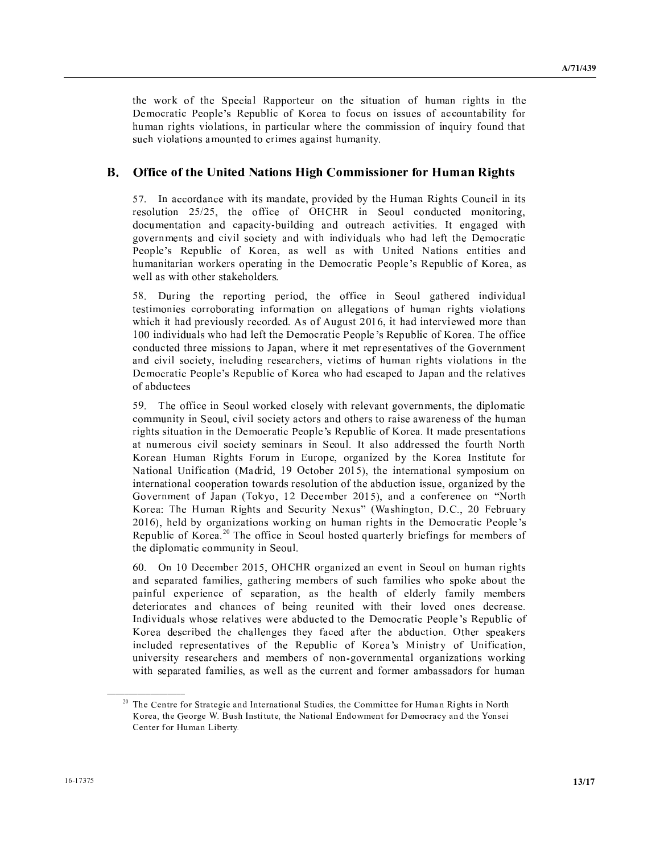the work of the Special Rapporteur on the situation of human rights in the Democratic People's Republic of Korea to focus on issues of accountability for human rights violations, in particular where the commission of inquiry found that such violations amounted to crimes against humanity.

#### В. **Office of the United Nations High Commissioner for Human Rights**

57. In accordance with its mandate, provided by the Human Rights Council in its resolution 25/25, the office of OHCHR in Seoul conducted monitoring, documentation and capacity-building and outreach activities. It engaged with governments and civil society and with individuals who had left the Democratic People's Republic of Korea, as well as with United Nations entities and humanitarian workers operating in the Democratic People's Republic of Korea, as well as with other stakeholders.

58. During the reporting period, the office in Seoul gathered individual testimonies corroborating information on allegations of human rights violations which it had previously recorded. As of August 2016, it had interviewed more than 100 individuals who had left the Democratic People's Republic of Korea. The office conducted three missions to Japan, where it met representatives of the Government and civil society, including researchers, victims of human rights violations in the Democratic People's Republic of Korea who had escaped to Japan and the relatives of abductees

59. The office in Seoul worked closely with relevant governments, the diplomatic community in Seoul, civil society actors and others to raise awareness of the human rights situation in the Democratic People's Republic of Korea. It made presentations at numerous civil society seminars in Seoul. It also addressed the fourth North Korean Human Rights Forum in Europe, organized by the Korea Institute for National Unification (Madrid, 19 October 2015), the international symposium on international cooperation towards resolution of the abduction issue, organized by the Government of Japan (Tokyo, 12 December 2015), and a conference on "North Korea: The Human Rights and Security Nexus" (Washington, D.C., 20 February 2016), held by organizations working on human rights in the Democratic People's Republic of Korea.<sup>20</sup> The office in Seoul hosted quarterly briefings for members of the diplomatic community in Seoul.

60. On 10 December 2015, OHCHR organized an event in Seoul on human rights and separated families, gathering members of such families who spoke about the painful experience of separation, as the health of elderly family members deteriorates and chances of being reunited with their loved ones decrease. Individuals whose relatives were abducted to the Democratic People's Republic of Korea described the challenges they faced after the abduction. Other speakers included representatives of the Republic of Korea's Ministry of Unification, university researchers and members of non-governmental organizations working with separated families, as well as the current and former ambassadors for human

<sup>&</sup>lt;sup>20</sup> The Centre for Strategic and International Studies, the Committee for Human Rights in North Korea, the George W. Bush Institute, the National Endowment for Democracy and the Yonsei Center for Human Liberty.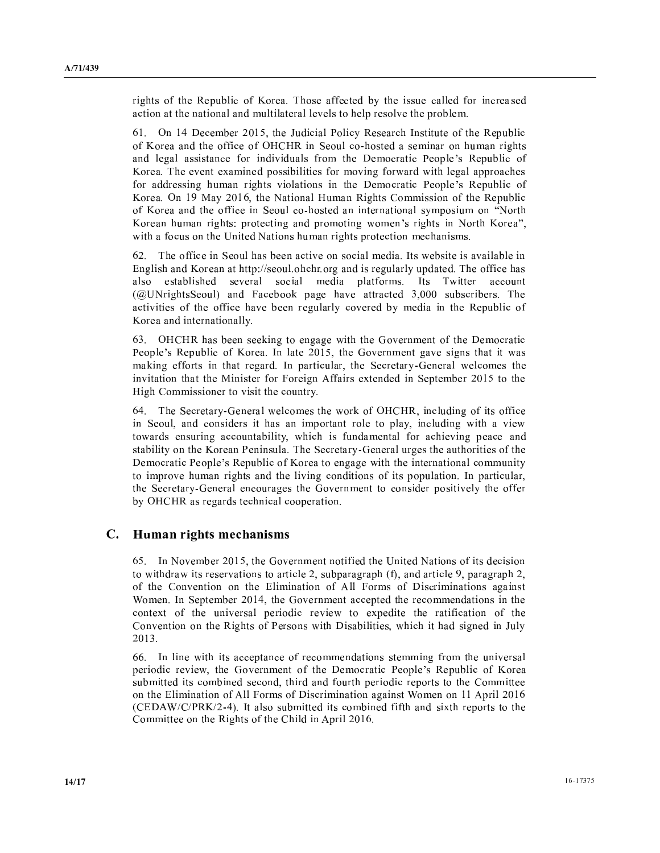$\mathcal{P}$  , and  $\mathcal{P}$  are the contract of the contract of the contract of the contract of the contract of the contract of the contract of the contract of the contract of the contract of the contract of the contract of t - . <sup>T</sup> \ <sup>S</sup> \ <sup>S</sup> .

 - - . - b <sup>¼</sup> <sup>T</sup> - <sup>W</sup> U <sup>Y</sup> [ <sup>T</sup> <sup>V</sup> <sup>Y</sup> <sup>S</sup> <sup>T</sup>  $\overline{a}$  ,  $\overline{a}$  ,  $\overline{a}$  ,  $\overline{a}$  ,  $\overline{a}$  ,  $\overline{a}$  ,  $\overline{a}$  ,  $\overline{a}$  ,  $\overline{a}$  ,  $\overline{a}$  ,  $\overline{a}$  ,  $\overline{a}$  ,  $\overline{a}$  ,  $\overline{a}$  ,  $\overline{a}$  ,  $\overline{a}$  ,  $\overline{a}$  ,  $\overline{a}$  ,  $\overline{a}$  ,  $\overline{a}$  ,  $\mathbf{v}$  ,  $\mathbf{v}$  ,  $\mathbf{v}$  ,  $\mathbf{v}$  ,  $\mathbf{v}$  ,  $\mathbf{v}$  ,  $\mathbf{v}$  ,  $\mathbf{v}$  ,  $\mathbf{v}$  ,  $\mathbf{v}$  ,  $\mathbf{v}$  ,  $\mathbf{v}$  ,  $\mathbf{v}$  ,  $\mathbf{v}$  ,  $\mathbf{v}$  ,  $\mathbf{v}$  ,  $\mathbf{v}$  ,  $\mathbf{v}$  ,  $\mathbf{v}$  ,  $\mathbf{v}$  , Z <sup>R</sup> \ . - <sup>S</sup> <sup>V</sup> . \ <sup>V</sup> ] - ] <sup>S</sup> <sup>S</sup>  $\overline{\phantom{a}}$  ,  $\overline{\phantom{a}}$  ,  $\overline{\phantom{a}}$  ,  $\overline{\phantom{a}}$  ,  $\overline{\phantom{a}}$  ,  $\overline{\phantom{a}}$  ,  $\overline{\phantom{a}}$  ,  $\overline{\phantom{a}}$  ,  $\overline{\phantom{a}}$  ,  $\overline{\phantom{a}}$  ,  $\overline{\phantom{a}}$  ,  $\overline{\phantom{a}}$  ,  $\overline{\phantom{a}}$  ,  $\overline{\phantom{a}}$  ,  $\overline{\phantom{a}}$  ,  $\overline{\phantom{a}}$ Z - ¿ <sup>U</sup> - b ` <sup>T</sup> . <sup>Y</sup> . . <sup>V</sup> <sup>Y</sup> <sup>S</sup> <sup>T</sup>  $\alpha$  and  $\alpha$  . The contract of the contract of the contract of the contract of the contract of the contract of the contract of the contract of the contract of the contract of the contract of the contract of the contract Z <sup>T</sup> .  <sup>S</sup> - <sup>S</sup> . ] . <sup>X</sup> ` <sup>Z</sup> <sup>¾</sup> <sup>b</sup>  $\mathbf{v} = \mathbf{v} + \mathbf{v} + \mathbf{v} + \mathbf{v} + \mathbf{v} + \mathbf{v} + \mathbf{v} + \mathbf{v} + \mathbf{v} + \mathbf{v} + \mathbf{v} + \mathbf{v} + \mathbf{v} + \mathbf{v} + \mathbf{v} + \mathbf{v} + \mathbf{v} + \mathbf{v} + \mathbf{v} + \mathbf{v} + \mathbf{v} + \mathbf{v} + \mathbf{v} + \mathbf{v} + \mathbf{v} + \mathbf{v} + \mathbf{v} + \mathbf{v} + \mathbf{v} + \mathbf{v} + \mathbf$ 

 <sup>R</sup> <sup>V</sup> <sup>V</sup> ^ <sup>T</sup> \ . - [ ] \ - <sup>Z</sup> <sup>S</sup> <sup>T</sup> - <sup>T</sup> <sup>U</sup> <sup>T</sup> <sup>S</sup> - - <sup>R</sup> <sup>V</sup> <sup>V</sup> also  $\mathbf{A} \quad \mathbf{B} \quad \mathbf{C} \quad \mathbf{A} \quad \mathbf{A} \quad \mathbf{C} \quad \mathbf{A} \quad \mathbf{A} \quad \mathbf{A} \quad \mathbf{A} \quad \mathbf{A} \quad \mathbf{C} \quad \mathbf{A} \quad \mathbf{A} \quad \mathbf{A} \quad \mathbf{A} \quad \mathbf{A} \quad \mathbf{A} \quad \mathbf{A} \quad \mathbf{A} \quad \mathbf{A} \quad \mathbf{A} \quad \mathbf{A} \quad \mathbf{A} \quad \mathbf{A} \quad \mathbf{A} \quad \mathbf{A} \quad \mathbf{$  $\overline{a}$  ,  $\overline{b}$  ,  $\overline{c}$  ,  $\overline{c}$  ,  $\overline{c}$  ,  $\overline{c}$  ,  $\overline{c}$  ,  $\overline{c}$  ,  $\overline{c}$  ,  $\overline{c}$  ,  $\overline{c}$  ,  $\overline{c}$  ,  $\overline{c}$  ,  $\overline{c}$  ,  $\overline{c}$  ,  $\overline{c}$  ,  $\overline{c}$  ,  $\overline{c}$  ,  $\overline{c}$  ,  $\overline{c}$  , \ <sup>V</sup> <sup>V</sup> <sup>V</sup> \ <sup>T</sup> <sup>U</sup> \ - <sup>U</sup> . - <sup>Y</sup> <sup>S</sup> <sup>T</sup> <sup>V</sup> Z - <sup>U</sup>

 $\alpha$  .  $\alpha$  ,  $\alpha$  ,  $\alpha$  ,  $\alpha$  ,  $\alpha$  ,  $\alpha$  ,  $\alpha$  ,  $\alpha$  ,  $\alpha$  ,  $\alpha$  ,  $\alpha$  ,  $\alpha$  ,  $\alpha$  ,  $\alpha$  ,  $\alpha$  ,  $\alpha$  ,  $\alpha$  ,  $\alpha$  ,  $\alpha$  ,  $\alpha$  ,  $\alpha$  ,  $\alpha$  ,  $\alpha$  ,  $\alpha$  ,  $\alpha$  ,  $\alpha$  ,  $\alpha$  ,  $\alpha$  ,  $\alpha$  ,  $\alpha$  ,  $\alpha$ which we have a set of the set of the set of the set of the set of the set of the set of the set of the set of . <sup>V</sup> <sup>V</sup> - [ <sup>S</sup> T <sup>b</sup> ^ <sup>U</sup> ] . \ ¿ <sup>V</sup> , V <sup>V</sup> - - ^ <sup>S</sup> . - . . \ <sup>T</sup> <sup>U</sup>

 $\mathcal{L} \mathcal{L} = \mathcal{L} \mathcal{L} \mathcal{L} = \mathcal{L} \mathcal{L} \mathcal{L} \mathcal{L} \mathcal{L} \mathcal{L} \mathcal{L} \mathcal{L} \mathcal{L} \mathcal{L} \mathcal{L} \mathcal{L} \mathcal{L} \mathcal{L} \mathcal{L} \mathcal{L} \mathcal{L} \mathcal{L} \mathcal{L} \mathcal{L} \mathcal{L} \mathcal{L} \mathcal{L} \mathcal{L} \mathcal{L} \mathcal{L} \mathcal{L} \mathcal{L} \mathcal{L} \mathcal{L} \mathcal{L} \math$  $\mathbf{b}$  , and the set of the set of the set of the set of the set of the set of the set of the set of the set of the set of the set of the set of the set of the set of the set of the set of the set of the set of the set  $\blacksquare$  , and , and , and , and , and , and , and , and , and , and , and , and , and , and , and , and , and , and , and , and , and , and , and , and , and , and , and , and , and , and , and , and , and , and , and , an  $\mathcal{L} = \{ \mathcal{L} \text{ } \mathcal{L} \text{ } \mathcal{L} \text{ } \mathcal{L} \text{ } \mathcal{L} \text{ } \mathcal{L} \text{ } \mathcal{L} \text{ } \mathcal{L} \text{ } \mathcal{L} \text{ } \mathcal{L} \text{ } \mathcal{L} \text{ } \mathcal{L} \text{ } \mathcal{L} \text{ } \mathcal{L} \text{ } \mathcal{L} \text{ } \mathcal{L} \text{ } \mathcal{L} \text{ } \mathcal{L} \text{ } \mathcal{L} \text{ } \mathcal{L} \text{ } \mathcal{L} \text{ } \$  . <sup>W</sup> <sup>S</sup> <sup>X</sup> <sup>Y</sup> <sup>S</sup> <sup>T</sup> <sup>V</sup> <sup>Z</sup> ] . . <sup>T</sup> <sup>U</sup> . <sup>S</sup> \ <sup>T</sup> . - \ - <sup>V</sup> <sup>S</sup> <sup>S</sup> <sup>T</sup> [ <sup>S</sup> T <sup>b</sup> ^ <sup>U</sup> <sup>T</sup> \ . - <sup>S</sup> \ <sup>U</sup> <sup>V</sup> <sup>V</sup> <sup>U</sup> <sup>Y</sup> - <sup>S</sup> 

#### **International Contract of the Contract of the Contract of the Contract of the Contract of the Contract of the Contract of the Contract of the Contract of the Contract of the Contract of the Contract of the Contract of the** ð **A E I Romandal er í A E I fyrir er í A** B E I A E I B E I B E I B E I B E I B E I B E I B E I B E I B E I B E

 [ ` \ . - b \ . <sup>V</sup> - \_ - ` <sup>V</sup> - أ القادة المناطقة المناطقة المناطقة المناطقة المناطقة المناطقة المناطقة المناطقة المناطقة المناطقة المناطقة ال <sup>V</sup> \ . <sup>V</sup> , . <sup>V</sup> . a . [ ^ <sup>S</sup> . - b \ . <sup>S</sup> - . . - <sup>V</sup> <sup>T</sup> \ <sup>S</sup> - \ ] <sup>S</sup> - <sup>V</sup> <sup>V</sup> \ <sup>Y</sup> <sup>V</sup> <sup>W</sup> ] <sup>b</sup> ] - - <sup>¼</sup> <sup>T</sup> <sup>U</sup> ----

 $\mathcal{S} \times \mathcal{S} = \{ \mathbf{0} \} \times \mathcal{S} = \{ \mathbf{0} \} \times \mathcal{S} = \{ \mathbf{0} \} \times \mathcal{S} = \{ \mathbf{0} \} \times \mathcal{S} = \{ \mathbf{0} \} \times \mathcal{S} = \{ \mathbf{0} \} \times \mathcal{S} = \{ \mathbf{0} \} \times \mathcal{S} = \{ \mathbf{0} \} \times \mathcal{S} = \{ \mathbf{0} \} \times \mathcal{S} = \{ \mathbf{0} \} \times \mathcal{S} = \{ \mathbf{0} \} \times \mathcal$ S - \ ] <sup>b</sup> \ . <sup>V</sup> . <sup>W</sup> <sup>S</sup> <sup>X</sup> <sup>Y</sup> <sup>S</sup> <sup>T</sup> <sup>V</sup> <sup>Z</sup>  $\mathbf{r} = \mathbf{r} + \mathbf{r} + \mathbf{r} + \mathbf{r} + \mathbf{r} + \mathbf{r} + \mathbf{r} + \mathbf{r} + \mathbf{r} + \mathbf{r} + \mathbf{r} + \mathbf{r} + \mathbf{r} + \mathbf{r} + \mathbf{r} + \mathbf{r} + \mathbf{r} + \mathbf{r} + \mathbf{r} + \mathbf{r} + \mathbf{r} + \mathbf{r} + \mathbf{r} + \mathbf{r} + \mathbf{r} + \mathbf{r} + \mathbf{r} + \mathbf{r} + \mathbf{r} + \mathbf{r} + \mathbf$  . <sup>V</sup> , . <sup>V</sup> . <sup>a</sup> . - - , S -  $\overline{a}$  ,  $\overline{a}$  ,  $\overline{a}$  ,  $\overline{a}$  ,  $\overline{a}$  ,  $\overline{a}$  ,  $\overline{a}$  ,  $\overline{a}$  ,  $\overline{a}$  ,  $\overline{a}$  ,  $\overline{a}$  ,  $\overline{a}$  ,  $\overline{a}$  ,  $\overline{a}$  ,  $\overline{a}$  ,  $\overline{a}$  ,  $\overline{a}$  ,  $\overline{a}$  ,  $\overline{a}$  ,  $\overline{a}$  , . . <sup>Y</sup> <sup>V</sup> - , S -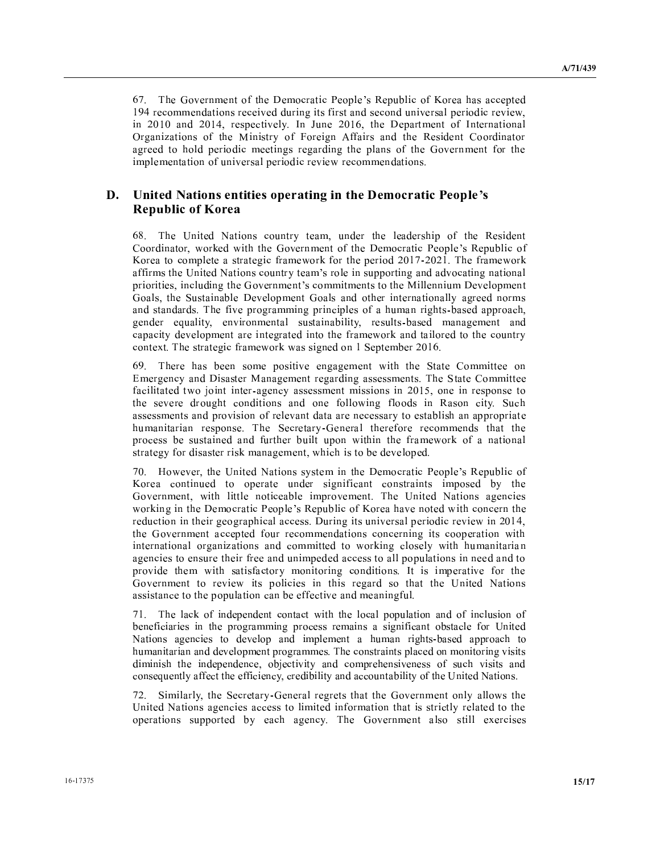<sup>R</sup> \ . <sup>V</sup> . <sup>W</sup> <sup>S</sup> <sup>X</sup> <sup>Y</sup> <sup>S</sup> <sup>T</sup> <sup>V</sup> <sup>Z</sup> <sup>S</sup> - - . . - \ - - <sup>T</sup> <sup>V</sup> - - <sup>T</sup> \ <sup>S</sup> - \ ] <sup>b</sup>  $\mathbf{b} = \mathbf{b}$  , and  $\mathbf{c} = \mathbf{b}$  , and  $\mathbf{c} = \mathbf{b}$  , and  $\mathbf{c} = \mathbf{b}$  , and  $\mathbf{c} = \mathbf{b}$  , and  $\mathbf{c} = \mathbf{b}$  , and  $\mathbf{c} = \mathbf{b}$  , and  $\mathbf{c} = \mathbf{b}$  , and  $\mathbf{c} = \mathbf{b}$  , and  $\mathbf{c} = \mathbf{b}$  , and <sup>¹</sup> <sup>V</sup> ¿ <sup>U</sup> <sup>V</sup> , V <sup>V</sup> - <sup>Y</sup> - - - - <sup>S</sup> - . - <sup>S</sup> <sup>V</sup> \ . <sup>V</sup> . <sup>S</sup> . <sup>V</sup> <sup>T</sup> \ <sup>S</sup> - \ ] . . - 

### ≪ – <del>er</del> et er er en de en de en de en de en de en de en de en de en de en de en de en de en de en de en de en d ; <sup>&</sup>lt; <sup>=</sup> <sup>J</sup> <sup>D</sup> <sup>&</sup>gt; <sup>A</sup> <sup>ù</sup> <sup>&</sup>gt; ? <sup>&</sup>lt; <sup>E</sup>

 / <sup>R</sup> \_ - ` <sup>T</sup> <sup>U</sup> . <sup>b</sup> <sup>T</sup> - - <sup>S</sup> <sup>V</sup> <sup>Y</sup> - - <sup>b</sup> ] - ] \ . <sup>V</sup> . <sup>W</sup> <sup>S</sup> <sup>X</sup> <sup>Y</sup> <sup>S</sup> <sup>T</sup> <sup>V</sup> Z . <sup>S</sup> V . ] <sup>V</sup> <sup>S</sup> - - - <sup>R</sup> <sup>V</sup> . ]  $\bm{v}$  ,  $\bm{v}$  ,  $\bm{v}$  ,  $\bm{v}$  ,  $\bm{v}$  ,  $\bm{v}$  ,  $\bm{v}$  ,  $\bm{v}$  ,  $\bm{v}$  ,  $\bm{v}$  ,  $\bm{v}$  ,  $\bm{v}$  ,  $\bm{v}$  ,  $\bm{v}$  ,  $\bm{v}$  ,  $\bm{v}$  ,  $\bm{v}$  ,  $\bm{v}$  ,  $\bm{v}$  ,  $\bm{v}$  ,  $\bm{v}$  ,  $\bm{v}$  ,  $\mathbf{b} = \mathbf{b} + \mathbf{c} + \mathbf{c} + \mathbf{c} + \mathbf{c} + \mathbf{c} + \mathbf{c} + \mathbf{c} + \mathbf{c} + \mathbf{c} + \mathbf{c} + \mathbf{c} + \mathbf{c} + \mathbf{c} + \mathbf{c} + \mathbf{c} + \mathbf{c} + \mathbf{c} + \mathbf{c} + \mathbf{c} + \mathbf{c} + \mathbf{c} + \mathbf{c} + \mathbf{c} + \mathbf{c} + \mathbf{c} + \mathbf{c} + \mathbf{c} + \mathbf{c} + \mathbf{c} + \mathbf$  <sup>b</sup> ^ <sup>T</sup> \ <sup>S</sup> . - <sup>U</sup> - . - - - <sup>R</sup> <sup>V</sup> \ <sup>S</sup> . . <sup>S</sup> <sup>S</sup> <sup>V</sup> <sup>T</sup> . - <sup>S</sup> <sup>S</sup> <sup>b</sup> - The set of the set of the set of the set of the set of the set of the set of the set of the set of the set of the set of the set of the set of the set of the set of the set of the set of the set of the set of the set of  $\mathbf{U} = \mathbf{U} + \mathbf{U} + \mathbf{U} + \mathbf{U} + \mathbf{U} + \mathbf{U} + \mathbf{U} + \mathbf{U} + \mathbf{U} + \mathbf{U} + \mathbf{U} + \mathbf{U} + \mathbf{U} + \mathbf{U} + \mathbf{U} + \mathbf{U} + \mathbf{U} + \mathbf{U} + \mathbf{U} + \mathbf{U} + \mathbf{U} + \mathbf{U} + \mathbf{U} + \mathbf{U} + \mathbf{U} + \mathbf{U} + \mathbf{U} + \mathbf{U} + \mathbf{U} + \mathbf{U} + \mathbf$ r and the contract of the contract of the contract of the contract of the contract of the contract of the contr

 $\mathcal{L} \mathcal{L} \mathcal{L} \mathcal{L} \mathcal{L} \mathcal{L} \mathcal{L} \mathcal{L} \mathcal{L} \mathcal{L} \mathcal{L} \mathcal{L} \mathcal{L} \mathcal{L} \mathcal{L} \mathcal{L} \mathcal{L} \mathcal{L} \mathcal{L} \mathcal{L} \mathcal{L} \mathcal{L} \mathcal{L} \mathcal{L} \mathcal{L} \mathcal{L} \mathcal{L} \mathcal{L} \mathcal{L} \mathcal{L} \mathcal{L} \mathcal{L} \mathcal{L} \mathcal{L} \mathcal{L} \mathcal{L} \mathcal{$  . U - ¿ . - . <sup>R</sup> ^ . .  $\alpha$  , we have the set of the set of the set of the set of the set of the set of the set of the set of the set of the set of the set of the set of the set of the set of the set of the set of the set of the set of the set \ - <sup>T</sup> - - <sup>V</sup> ] <sup>V</sup> - <sup>Y</sup> <sup>U</sup> ^ <sup>T</sup> . - <sup>S</sup> \ <sup>V</sup> \ - <sup>U</sup> <sup>S</sup> <sup>S</sup> <sup>S</sup> <sup>T</sup> . <sup>S</sup> <sup>R</sup> ^ <sup>U</sup> <sup>V</sup> . . - S <sup>T</sup> - - <sup>V</sup> <sup>T</sup> <sup>T</sup> <sup>T</sup> <sup>S</sup> ] <sup>V</sup> . ] <sup>V</sup> U V OSTAVILI I DO NA SERVE DO NA SERVEZA DE LA CARDINA DE LA CARDINA DE LA CARDINA DE LA CARDINA DE LA CARDINA

 ] \ <sup>b</sup> \_ - ` <sup>U</sup> . . <sup>W</sup> <sup>S</sup> <sup>X</sup> <sup>Y</sup> <sup>S</sup> <sup>T</sup> <sup>V</sup> Z <sup>T</sup> - <sup>S</sup> <sup>T</sup> - <sup>V</sup> . <sup>S</sup> - <sup>U</sup>  $\alpha$  . The set of the set of the set of the set of the set of the set of the set of the set of the set of the set of the set of the set of the set of the set of the set of the set of the set of the set of the set of the s  $\mathbf{y} = \mathbf{y} + \mathbf{y} + \mathbf{y} + \mathbf{y} + \mathbf{y} + \mathbf{y} + \mathbf{y} + \mathbf{y} + \mathbf{y} + \mathbf{y} + \mathbf{y} + \mathbf{y} + \mathbf{y} + \mathbf{y} + \mathbf{y} + \mathbf{y} + \mathbf{y} + \mathbf{y} + \mathbf{y} + \mathbf{y} + \mathbf{y} + \mathbf{y} + \mathbf{y} + \mathbf{y} + \mathbf{y} + \mathbf{y} + \mathbf{y} + \mathbf{y} + \mathbf{y} + \mathbf{y} + \mathbf$  - <sup>T</sup> <sup>S</sup> <sup>T</sup> <sup>T</sup> \ <sup>S</sup> - \ ] - b \ . <sup>S</sup> - <sup>V</sup> <sup>T</sup> . . - <sup>S</sup> ] <sup>¹</sup> - . . - ] <sup>U</sup> ] <sup>T</sup> . <sup>T</sup> <sup>V</sup> - <sup>T</sup> . <sup>S</sup> - - <sup>S</sup> <sup>S</sup> <sup>T</sup> - -  $\mathcal{S} \rightarrow \mathcal{S}$  , and a set of the set of the set of the set of the set of the set of the set of the set of the set of the set of the set of the set of the set of the set of the set of the set of the set of the set of th  $\alpha$  . The set of the set of the set of the set of the set of the set of the set of the set of the set of the set of the set of the set of the set of the set of the set of the set of the set of the set of the set of the s  $\sim$  . The set of the set of the set of the set of the set of the set of the set of the set of the set of the set of the set of the set of the set of the set of the set of the set of the set of the set of the set of the s

 - <sup>R</sup> <sup>V</sup> - <sup>S</sup> - ] <sup>S</sup> <sup>S</sup> <sup>T</sup> - <sup>V</sup> <sup>T</sup> <sup>V</sup> <sup>V</sup> <sup>S</sup> . . <sup>S</sup> . <sup>V</sup> <sup>V</sup> \_ - ` - \ <sup>S</sup> - . <sup>S</sup> . <sup>T</sup> . - <sup>S</sup> <sup>S</sup> <sup>T</sup> . - - \ <sup>S</sup> . <sup>S</sup> . . <sup>R</sup> <sup>S</sup> - . \ - . - <sup>S</sup> - <sup>b</sup> \ <sup>U</sup> - . <sup>S</sup> \ <sup>V</sup> <sup>T</sup> \ -  $\mathcal{U} = \mathcal{U} = \mathcal{U} = \mathcal{U} = \mathcal{U} = \mathcal{U} = \mathcal{U} = \mathcal{U} = \mathcal{U} = \mathcal{U} = \mathcal{U} = \mathcal{U} = \mathcal{U} = \mathcal{U} = \mathcal{U} = \mathcal{U} = \mathcal{U} = \mathcal{U} = \mathcal{U} = \mathcal{U} = \mathcal{U} = \mathcal{U} = \mathcal{U} = \mathcal{U} = \mathcal{U} = \mathcal{U} = \mathcal{U} = \mathcal{U} = \mathcal{U} = \mathcal{U} = \mathcal{U} = \mathcal$ 

 ^ . <sup>U</sup> <sup>b</sup> ^ <sup>U</sup> \ . <sup>U</sup> ] \_ - ` . - <sup>V</sup> . <sup>U</sup> -  $\sim$  . The set of the set of the set of the set of the set of the set of the set of the set of the set of the set of the set of the set of the set of the set of the set of the set of the set of the set of the set of the s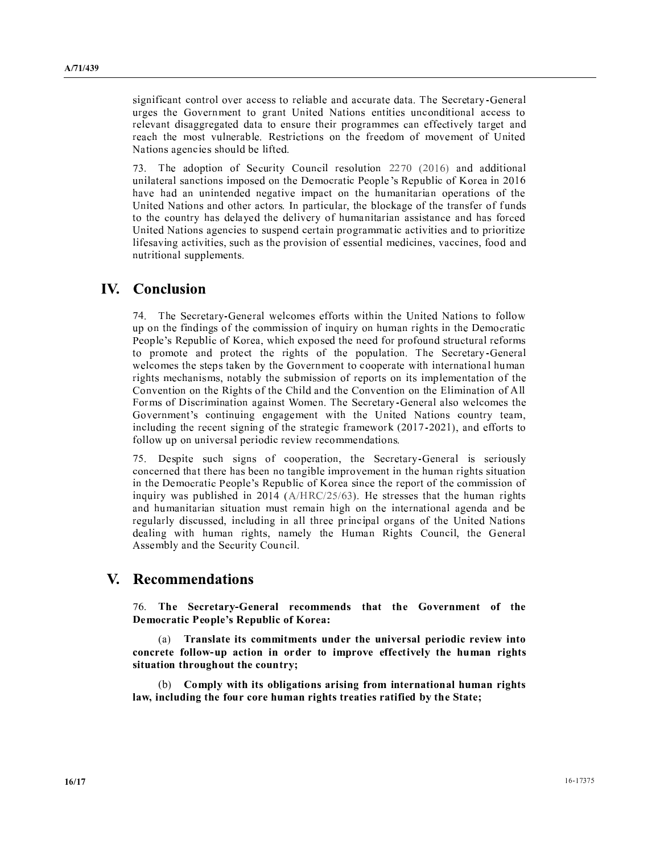significant control over access to reliable and accurate data. The Secretary-General urges the Government to grant United Nations entities unconditional access to relevant disaggregated data to ensure their programmes can effectively target and reach the most vulnerable. Restrictions on the freedom of movement of United Nations agencies should be lifted.

73. The adoption of Security Council resolution 2270 (2016) and additional unilateral sanctions imposed on the Democratic People's Republic of Korea in 2016 have had an unintended negative impact on the humanitarian operations of the United Nations and other actors. In particular, the blockage of the transfer of funds to the country has delayed the delivery of humanitarian assistance and has forced United Nations agencies to suspend certain programmatic activities and to prioritize lifesaving activities, such as the provision of essential medicines, vaccines, food and nutritional supplements.

## **IV.** Conclusion

74. The Secretary-General welcomes efforts within the United Nations to follow up on the findings of the commission of inquiry on human rights in the Democratic People's Republic of Korea, which exposed the need for profound structural reforms to promote and protect the rights of the population. The Secretary-General welcomes the steps taken by the Government to cooperate with international human rights mechanisms, notably the submission of reports on its implementation of the Convention on the Rights of the Child and the Convention on the Elimination of All Forms of Discrimination against Women. The Secretary-General also welcomes the Government's continuing engagement with the United Nations country team, including the recent signing of the strategic framework (2017-2021), and efforts to follow up on universal periodic review recommendations.

75. Despite such signs of cooperation, the Secretary-General is seriously concerned that there has been no tangible improvement in the human rights situation in the Democratic People's Republic of Korea since the report of the commission of inquiry was published in 2014 ( $A/HRC/25/63$ ). He stresses that the human rights and humanitarian situation must remain high on the international agenda and be regularly discussed, including in all three principal organs of the United Nations dealing with human rights, namely the Human Rights Council, the General Assembly and the Security Council.

## V. Recommendations

76. The Secretary-General recommends that the Government of the Democratic People's Republic of Korea:

Translate its commitments under the universal periodic review into concrete follow-up action in order to improve effectively the human rights situation throughout the country;

(b) Comply with its obligations arising from international human rights law, including the four core human rights treaties ratified by the State;